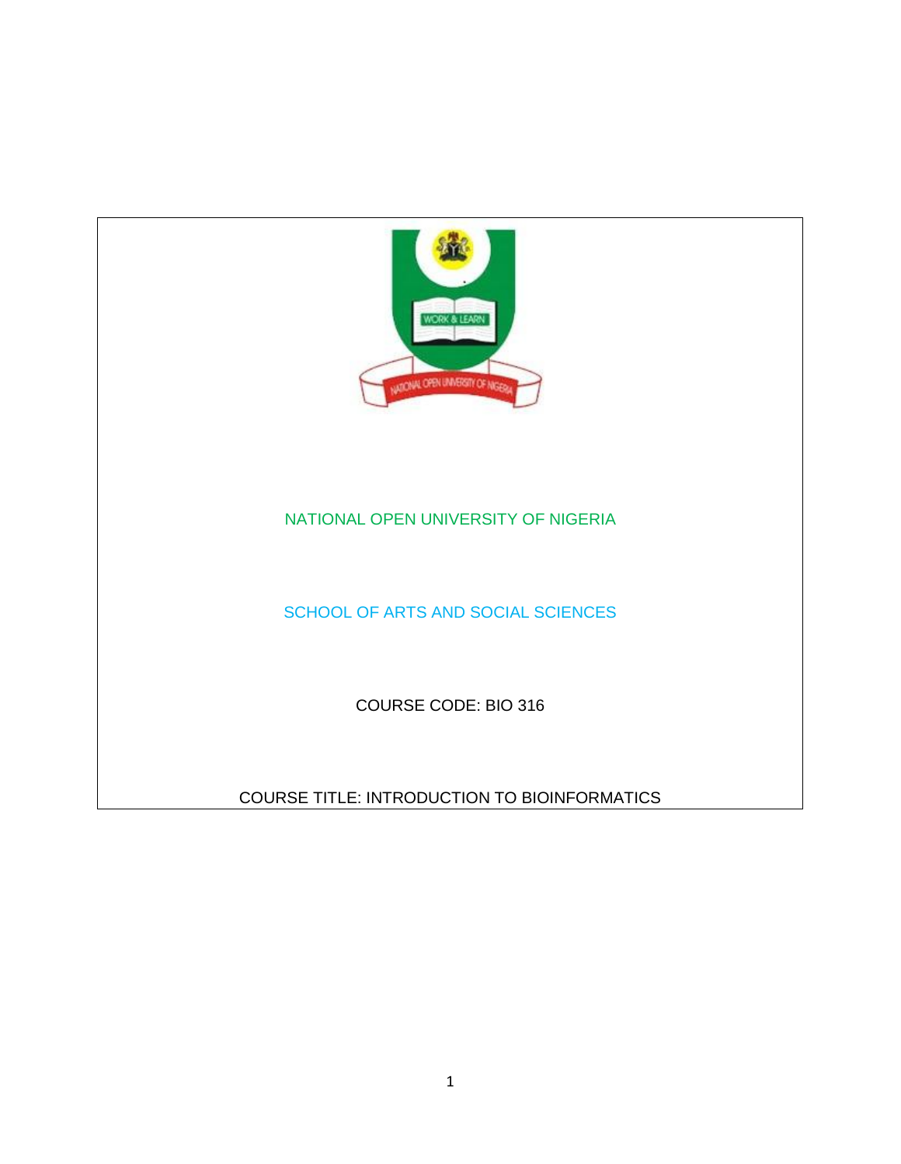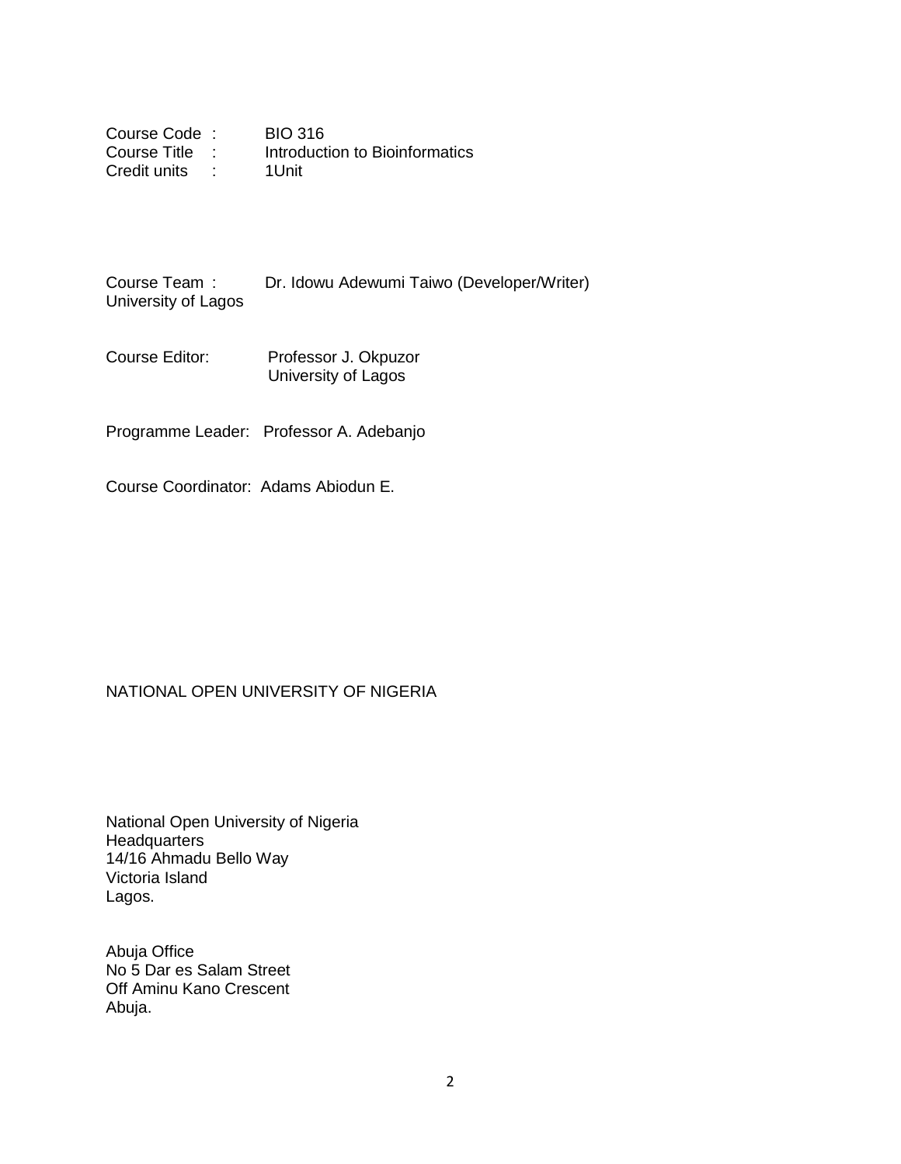| Course Code: | <b>BIO 316</b>                 |
|--------------|--------------------------------|
| Course Title | Introduction to Bioinformatics |
| Credit units | 1Unit                          |

Course Team : Dr. Idowu Adewumi Taiwo (Developer/Writer) University of Lagos

Course Editor: Professor J. Okpuzor University of Lagos

Programme Leader: Professor A. Adebanjo

Course Coordinator: Adams Abiodun E.

#### NATIONAL OPEN UNIVERSITY OF NIGERIA

National Open University of Nigeria **Headquarters** 14/16 Ahmadu Bello Way Victoria Island Lagos.

Abuja Office No 5 Dar es Salam Street Off Aminu Kano Crescent Abuja.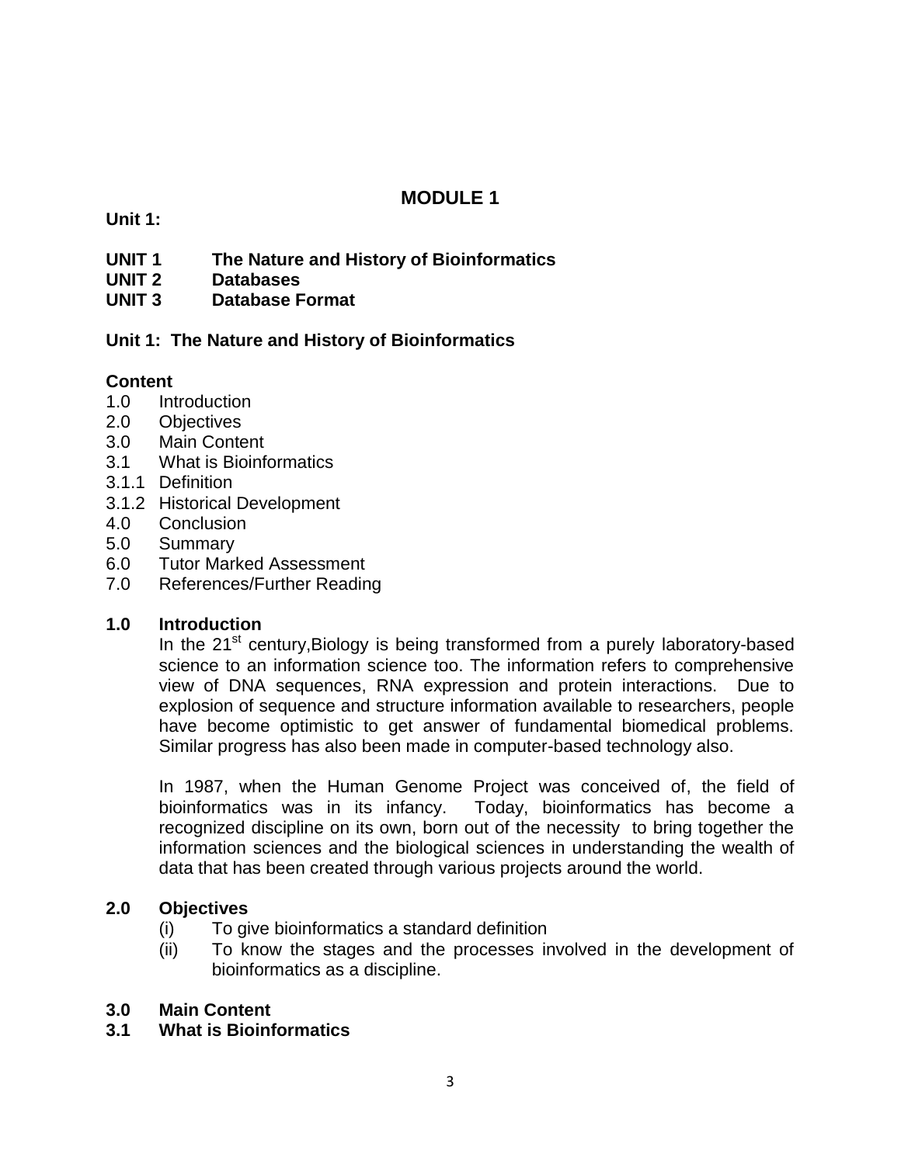# **MODULE 1**

**Unit 1:** 

- **UNIT 1 The Nature and History of Bioinformatics**
- **UNIT 2 Databases**
- **UNIT 3 Database Format**

# **Unit 1: The Nature and History of Bioinformatics**

# **Content**

- 1.0 Introduction
- 2.0 Objectives
- 3.0 Main Content
- 3.1 What is Bioinformatics
- 3.1.1 Definition
- 3.1.2 Historical Development
- 4.0 Conclusion
- 5.0 Summary
- 6.0 Tutor Marked Assessment
- 7.0 References/Further Reading

# **1.0 Introduction**

In the 21<sup>st</sup> century, Biology is being transformed from a purely laboratory-based science to an information science too. The information refers to comprehensive view of DNA sequences, RNA expression and protein interactions. Due to explosion of sequence and structure information available to researchers, people have become optimistic to get answer of fundamental biomedical problems. Similar progress has also been made in computer-based technology also.

In 1987, when the Human Genome Project was conceived of, the field of bioinformatics was in its infancy. Today, bioinformatics has become a recognized discipline on its own, born out of the necessity to bring together the information sciences and the biological sciences in understanding the wealth of data that has been created through various projects around the world.

### **2.0 Objectives**

- (i) To give bioinformatics a standard definition
- (ii) To know the stages and the processes involved in the development of bioinformatics as a discipline.

### **3.0 Main Content**

**3.1 What is Bioinformatics**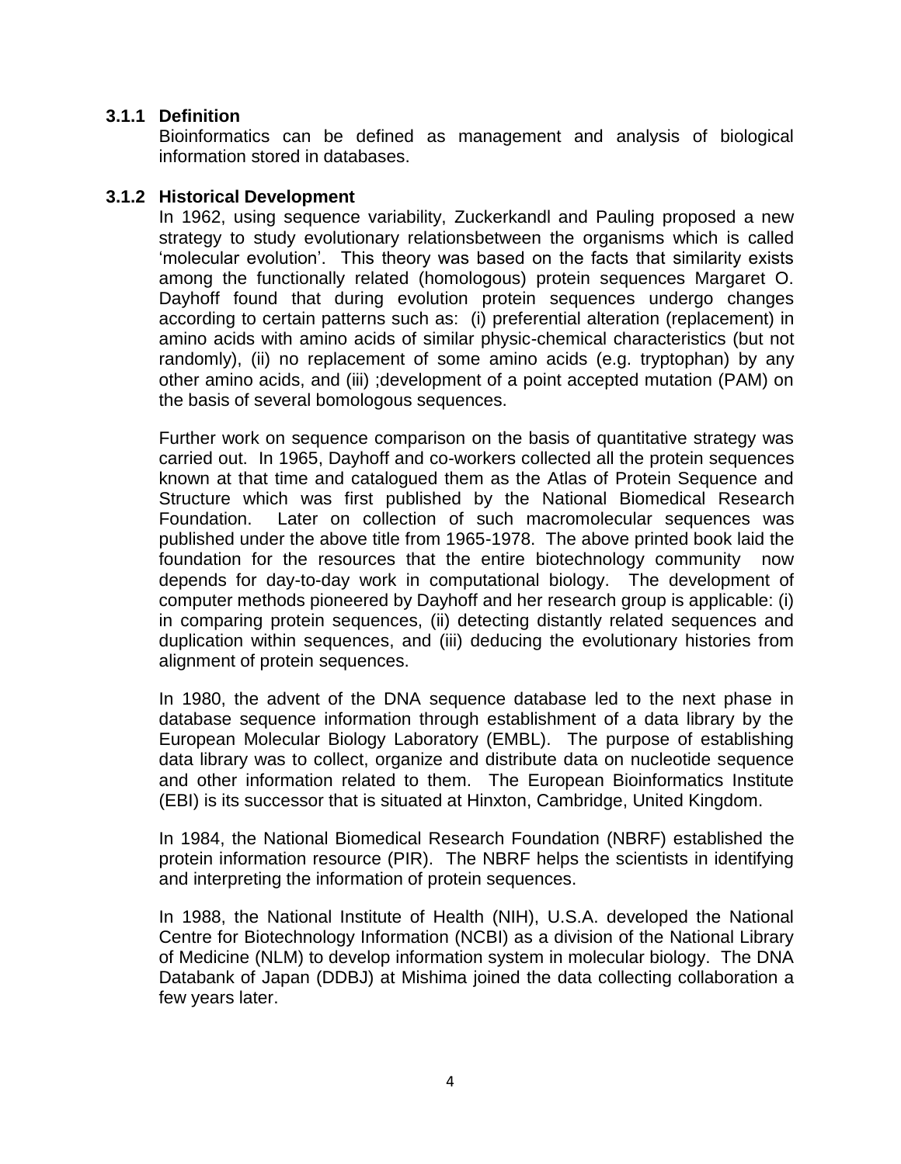### **3.1.1 Definition**

Bioinformatics can be defined as management and analysis of biological information stored in databases.

### **3.1.2 Historical Development**

In 1962, using sequence variability, Zuckerkandl and Pauling proposed a new strategy to study evolutionary relationsbetween the organisms which is called "molecular evolution". This theory was based on the facts that similarity exists among the functionally related (homologous) protein sequences Margaret O. Dayhoff found that during evolution protein sequences undergo changes according to certain patterns such as: (i) preferential alteration (replacement) in amino acids with amino acids of similar physic-chemical characteristics (but not randomly), (ii) no replacement of some amino acids (e.g. tryptophan) by any other amino acids, and (iii) ;development of a point accepted mutation (PAM) on the basis of several bomologous sequences.

Further work on sequence comparison on the basis of quantitative strategy was carried out. In 1965, Dayhoff and co-workers collected all the protein sequences known at that time and catalogued them as the Atlas of Protein Sequence and Structure which was first published by the National Biomedical Research Foundation. Later on collection of such macromolecular sequences was published under the above title from 1965-1978. The above printed book laid the foundation for the resources that the entire biotechnology community now depends for day-to-day work in computational biology. The development of computer methods pioneered by Dayhoff and her research group is applicable: (i) in comparing protein sequences, (ii) detecting distantly related sequences and duplication within sequences, and (iii) deducing the evolutionary histories from alignment of protein sequences.

In 1980, the advent of the DNA sequence database led to the next phase in database sequence information through establishment of a data library by the European Molecular Biology Laboratory (EMBL). The purpose of establishing data library was to collect, organize and distribute data on nucleotide sequence and other information related to them. The European Bioinformatics Institute (EBI) is its successor that is situated at Hinxton, Cambridge, United Kingdom.

In 1984, the National Biomedical Research Foundation (NBRF) established the protein information resource (PIR). The NBRF helps the scientists in identifying and interpreting the information of protein sequences.

In 1988, the National Institute of Health (NIH), U.S.A. developed the National Centre for Biotechnology Information (NCBI) as a division of the National Library of Medicine (NLM) to develop information system in molecular biology. The DNA Databank of Japan (DDBJ) at Mishima joined the data collecting collaboration a few years later.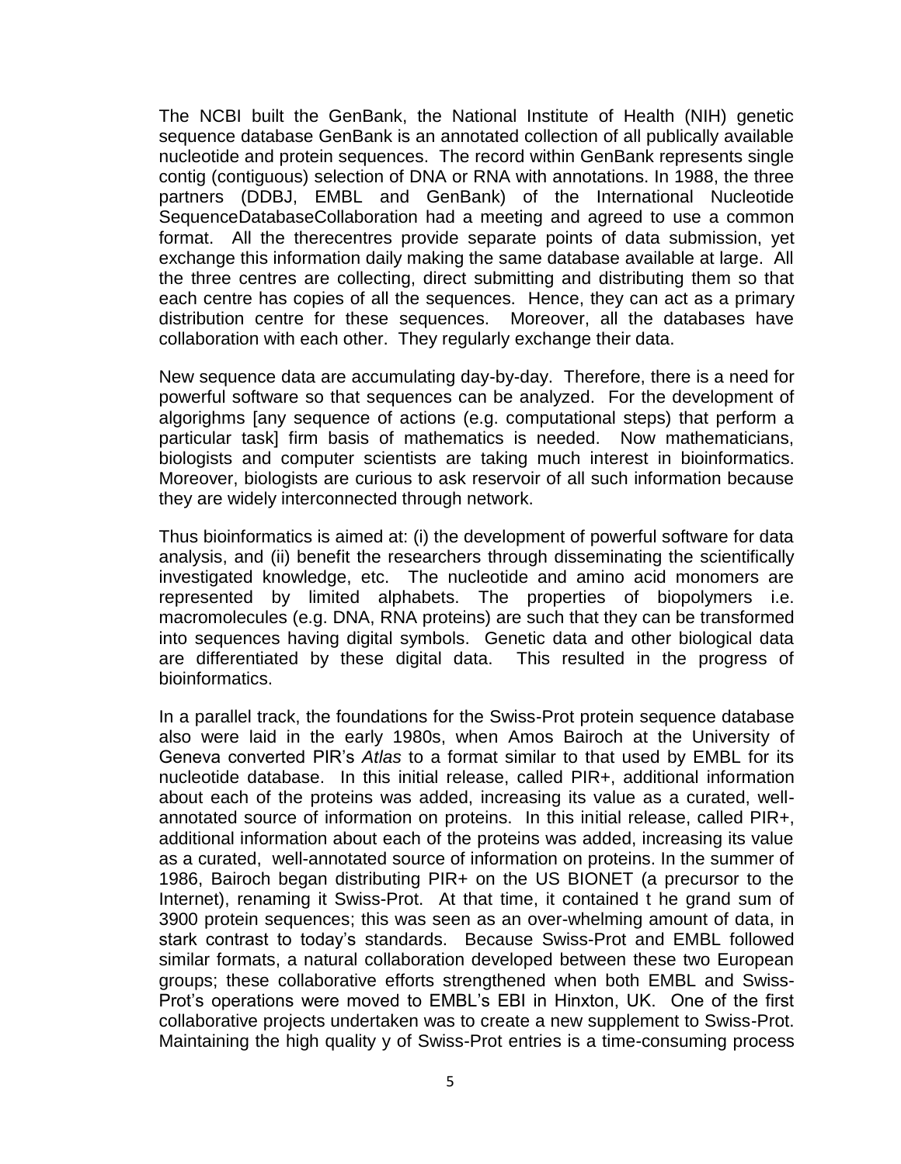The NCBI built the GenBank, the National Institute of Health (NIH) genetic sequence database GenBank is an annotated collection of all publically available nucleotide and protein sequences. The record within GenBank represents single contig (contiguous) selection of DNA or RNA with annotations. In 1988, the three partners (DDBJ, EMBL and GenBank) of the International Nucleotide SequenceDatabaseCollaboration had a meeting and agreed to use a common format. All the therecentres provide separate points of data submission, yet exchange this information daily making the same database available at large. All the three centres are collecting, direct submitting and distributing them so that each centre has copies of all the sequences. Hence, they can act as a primary distribution centre for these sequences. Moreover, all the databases have collaboration with each other. They regularly exchange their data.

New sequence data are accumulating day-by-day. Therefore, there is a need for powerful software so that sequences can be analyzed. For the development of algorighms [any sequence of actions (e.g. computational steps) that perform a particular task] firm basis of mathematics is needed. Now mathematicians, biologists and computer scientists are taking much interest in bioinformatics. Moreover, biologists are curious to ask reservoir of all such information because they are widely interconnected through network.

Thus bioinformatics is aimed at: (i) the development of powerful software for data analysis, and (ii) benefit the researchers through disseminating the scientifically investigated knowledge, etc. The nucleotide and amino acid monomers are represented by limited alphabets. The properties of biopolymers i.e. macromolecules (e.g. DNA, RNA proteins) are such that they can be transformed into sequences having digital symbols. Genetic data and other biological data are differentiated by these digital data. This resulted in the progress of bioinformatics.

In a parallel track, the foundations for the Swiss-Prot protein sequence database also were laid in the early 1980s, when Amos Bairoch at the University of Geneva converted PIR"s *Atlas* to a format similar to that used by EMBL for its nucleotide database. In this initial release, called PIR+, additional information about each of the proteins was added, increasing its value as a curated, wellannotated source of information on proteins. In this initial release, called PIR+, additional information about each of the proteins was added, increasing its value as a curated, well-annotated source of information on proteins. In the summer of 1986, Bairoch began distributing PIR+ on the US BIONET (a precursor to the Internet), renaming it Swiss-Prot. At that time, it contained t he grand sum of 3900 protein sequences; this was seen as an over-whelming amount of data, in stark contrast to today"s standards. Because Swiss-Prot and EMBL followed similar formats, a natural collaboration developed between these two European groups; these collaborative efforts strengthened when both EMBL and Swiss-Prot's operations were moved to EMBL's EBI in Hinxton, UK. One of the first collaborative projects undertaken was to create a new supplement to Swiss-Prot. Maintaining the high quality y of Swiss-Prot entries is a time-consuming process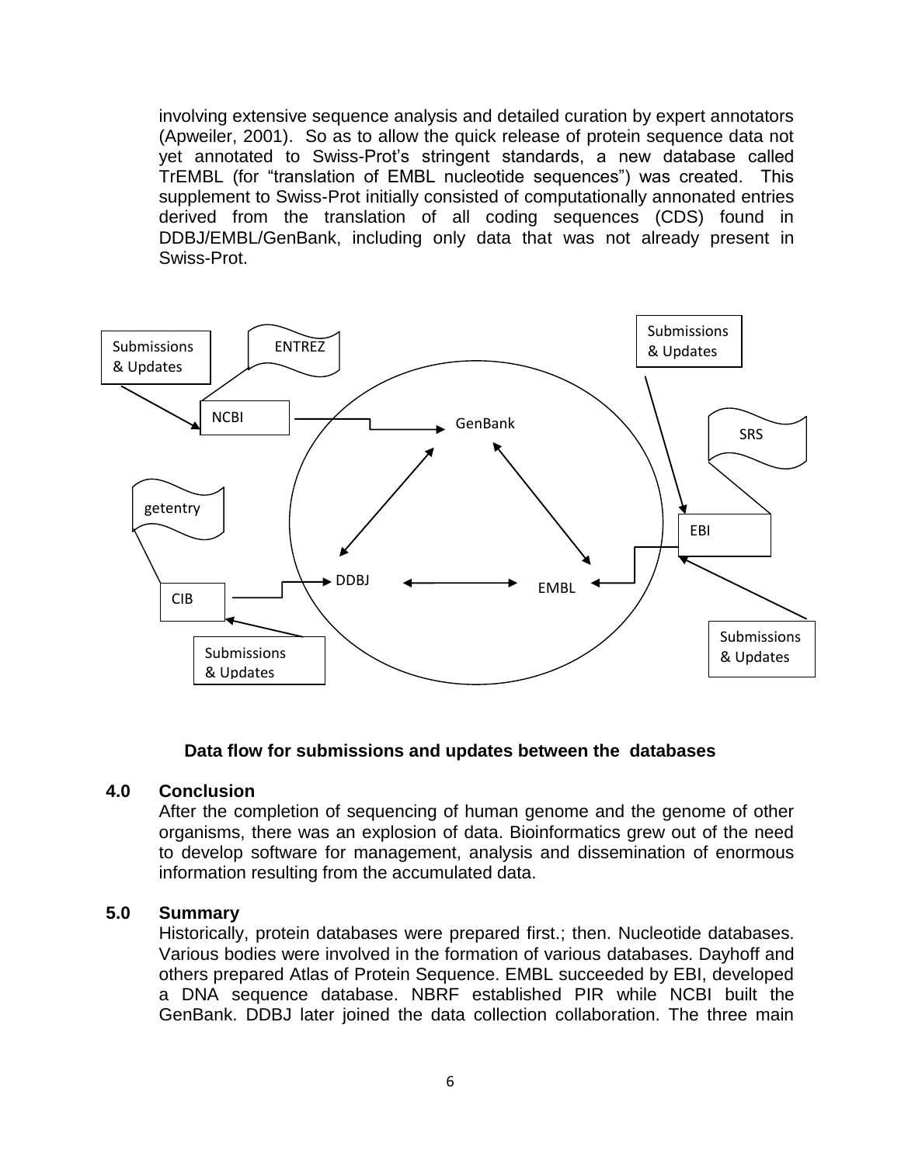involving extensive sequence analysis and detailed curation by expert annotators (Apweiler, 2001). So as to allow the quick release of protein sequence data not yet annotated to Swiss-Prot"s stringent standards, a new database called TrEMBL (for "translation of EMBL nucleotide sequences") was created. This supplement to Swiss-Prot initially consisted of computationally annonated entries derived from the translation of all coding sequences (CDS) found in DDBJ/EMBL/GenBank, including only data that was not already present in Swiss-Prot.



#### **Data flow for submissions and updates between the databases**

#### **4.0 Conclusion**

After the completion of sequencing of human genome and the genome of other organisms, there was an explosion of data. Bioinformatics grew out of the need to develop software for management, analysis and dissemination of enormous information resulting from the accumulated data.

#### **5.0 Summary**

Historically, protein databases were prepared first.; then. Nucleotide databases. Various bodies were involved in the formation of various databases. Dayhoff and others prepared Atlas of Protein Sequence. EMBL succeeded by EBI, developed a DNA sequence database. NBRF established PIR while NCBI built the GenBank. DDBJ later joined the data collection collaboration. The three main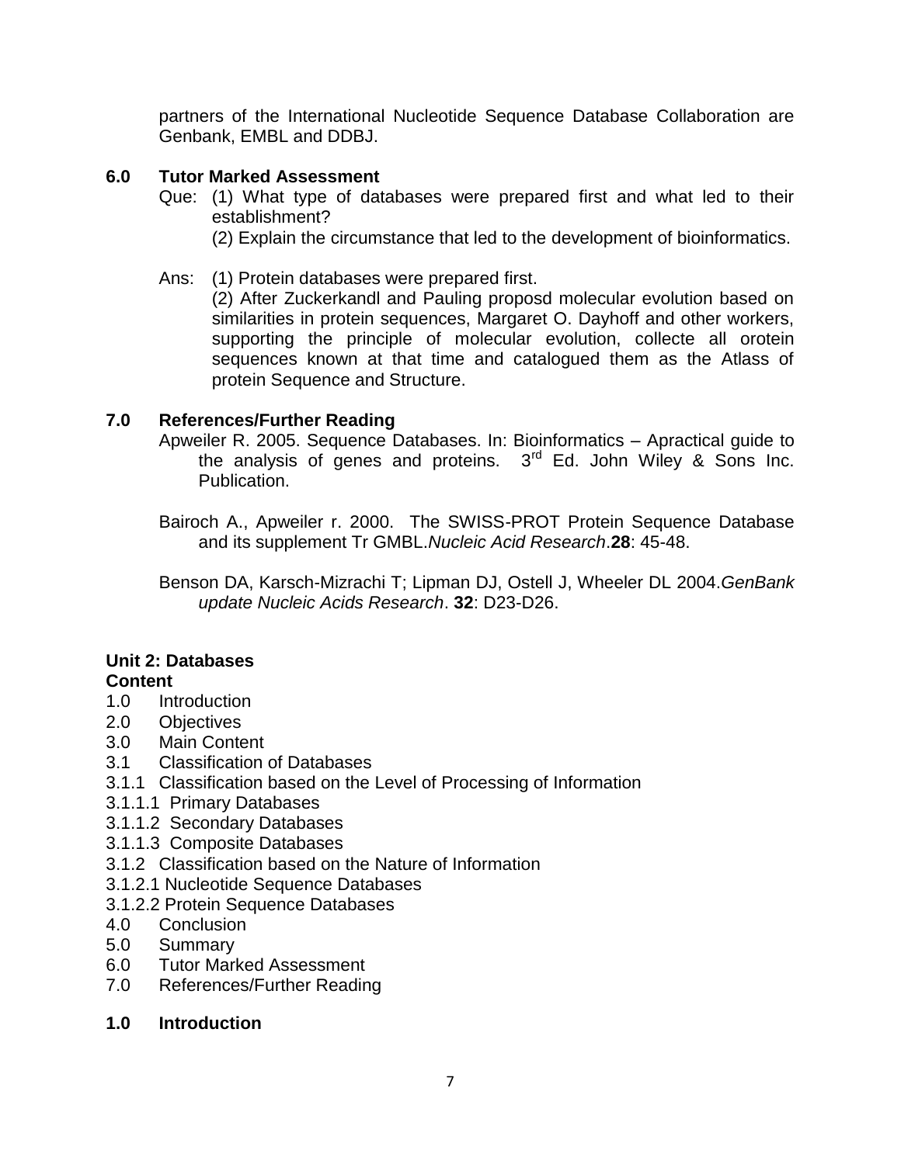partners of the International Nucleotide Sequence Database Collaboration are Genbank, EMBL and DDBJ.

# **6.0 Tutor Marked Assessment**

- Que: (1) What type of databases were prepared first and what led to their establishment?
	- (2) Explain the circumstance that led to the development of bioinformatics.
- Ans: (1) Protein databases were prepared first.

(2) After Zuckerkandl and Pauling proposd molecular evolution based on similarities in protein sequences, Margaret O. Dayhoff and other workers, supporting the principle of molecular evolution, collecte all orotein sequences known at that time and catalogued them as the Atlass of protein Sequence and Structure.

# **7.0 References/Further Reading**

Apweiler R. 2005. Sequence Databases. In: Bioinformatics – Apractical guide to the analysis of genes and proteins.  $3<sup>rd</sup>$  Ed. John Wiley & Sons Inc. Publication.

Bairoch A., Apweiler r. 2000. The SWISS-PROT Protein Sequence Database and its supplement Tr GMBL.*Nucleic Acid Research*.**28**: 45-48.

Benson DA, Karsch-Mizrachi T; Lipman DJ, Ostell J, Wheeler DL 2004.*GenBank update Nucleic Acids Research*. **32**: D23-D26.

# **Unit 2: Databases**

# **Content**

- 1.0 Introduction
- 2.0 Objectives
- 3.0 Main Content
- 3.1 Classification of Databases
- 3.1.1 Classification based on the Level of Processing of Information
- 3.1.1.1 Primary Databases
- 3.1.1.2 Secondary Databases
- 3.1.1.3 Composite Databases
- 3.1.2 Classification based on the Nature of Information
- 3.1.2.1 Nucleotide Sequence Databases
- 3.1.2.2 Protein Sequence Databases
- 4.0 Conclusion
- 5.0 Summary
- 6.0 Tutor Marked Assessment
- 7.0 References/Further Reading
- **1.0 Introduction**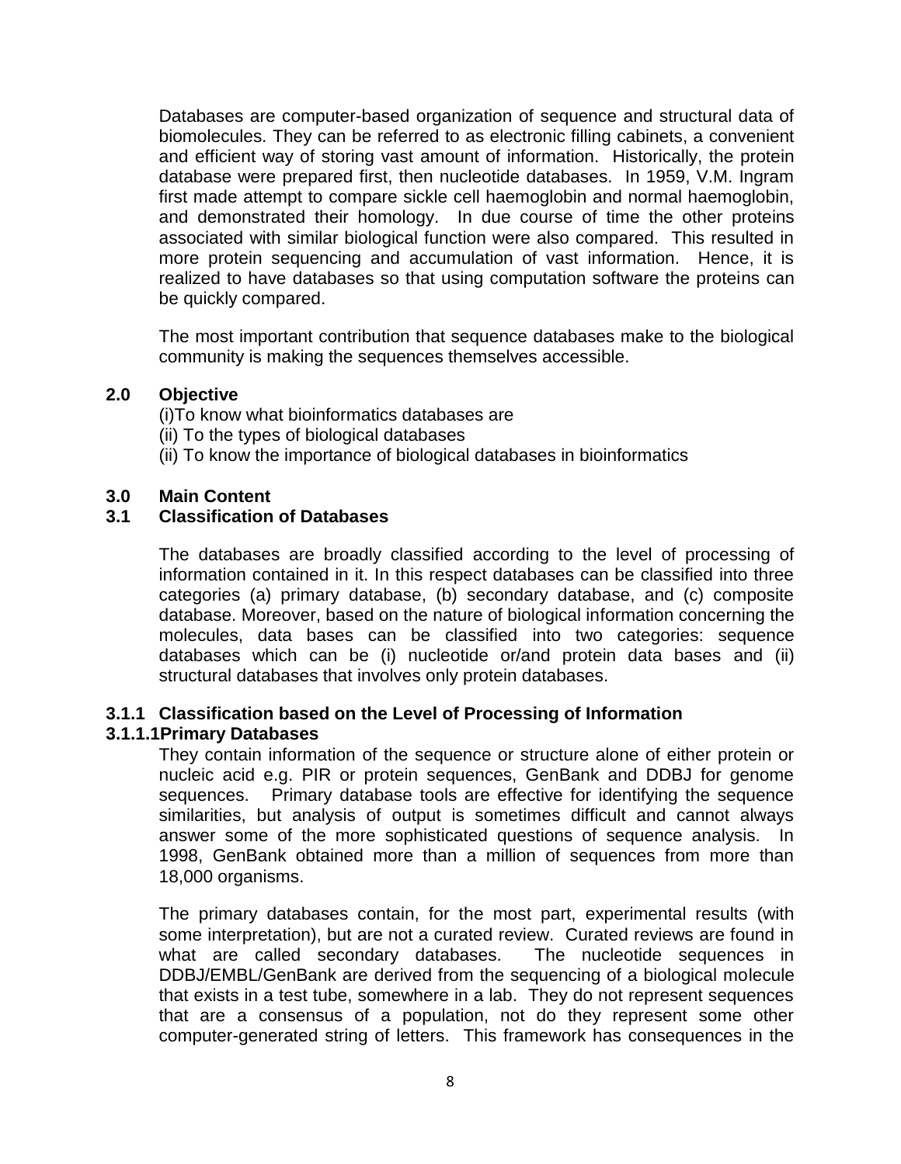Databases are computer-based organization of sequence and structural data of biomolecules. They can be referred to as electronic filling cabinets, a convenient and efficient way of storing vast amount of information. Historically, the protein database were prepared first, then nucleotide databases. In 1959, V.M. Ingram first made attempt to compare sickle cell haemoglobin and normal haemoglobin, and demonstrated their homology. In due course of time the other proteins associated with similar biological function were also compared. This resulted in more protein sequencing and accumulation of vast information. Hence, it is realized to have databases so that using computation software the proteins can be quickly compared.

The most important contribution that sequence databases make to the biological community is making the sequences themselves accessible.

# **2.0 Objective**

(i)To know what bioinformatics databases are

- (ii) To the types of biological databases
- (ii) To know the importance of biological databases in bioinformatics

# **3.0 Main Content**

# **3.1 Classification of Databases**

The databases are broadly classified according to the level of processing of information contained in it. In this respect databases can be classified into three categories (a) primary database, (b) secondary database, and (c) composite database. Moreover, based on the nature of biological information concerning the molecules, data bases can be classified into two categories: sequence databases which can be (i) nucleotide or/and protein data bases and (ii) structural databases that involves only protein databases.

# **3.1.1 Classification based on the Level of Processing of Information**

# **3.1.1.1Primary Databases**

They contain information of the sequence or structure alone of either protein or nucleic acid e.g. PIR or protein sequences, GenBank and DDBJ for genome sequences. Primary database tools are effective for identifying the sequence similarities, but analysis of output is sometimes difficult and cannot always answer some of the more sophisticated questions of sequence analysis. In 1998, GenBank obtained more than a million of sequences from more than 18,000 organisms.

The primary databases contain, for the most part, experimental results (with some interpretation), but are not a curated review. Curated reviews are found in what are called secondary databases. The nucleotide sequences in DDBJ/EMBL/GenBank are derived from the sequencing of a biological molecule that exists in a test tube, somewhere in a lab. They do not represent sequences that are a consensus of a population, not do they represent some other computer-generated string of letters. This framework has consequences in the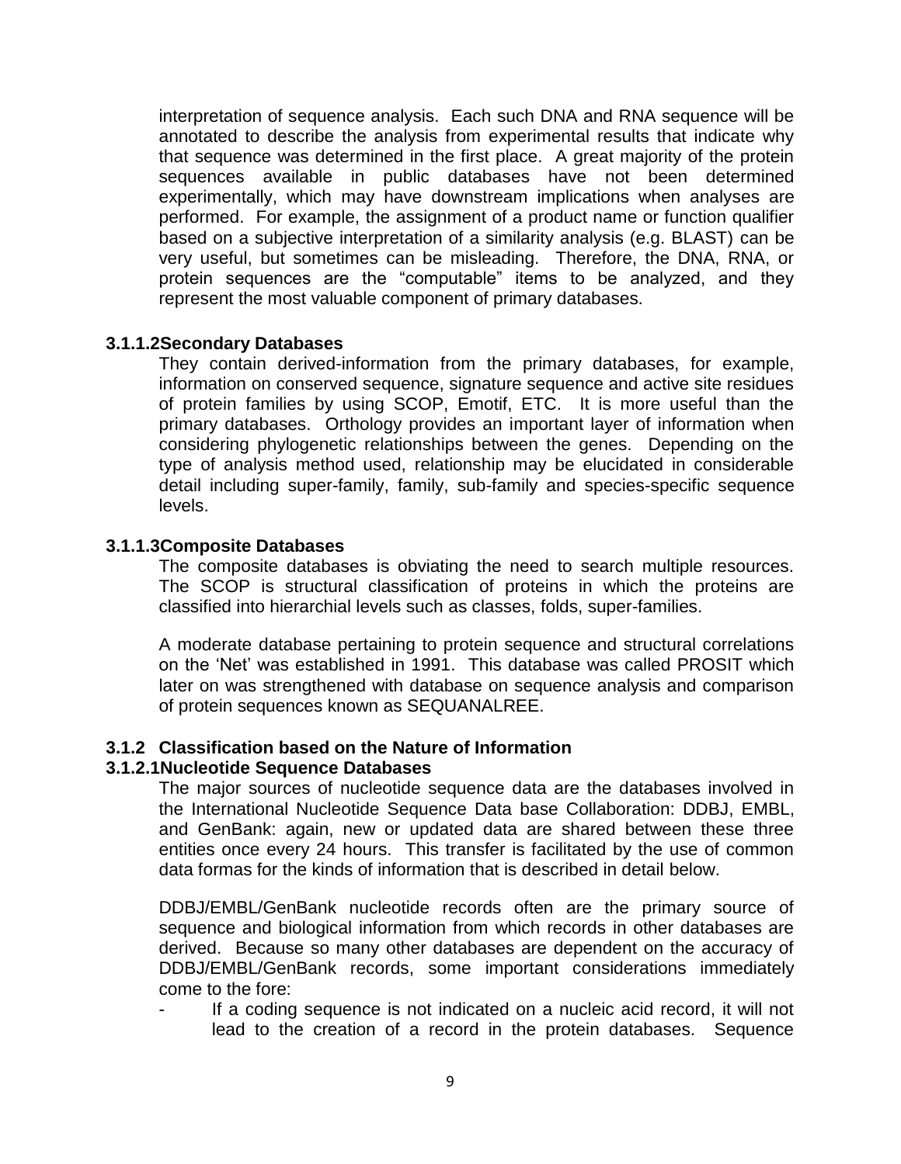interpretation of sequence analysis. Each such DNA and RNA sequence will be annotated to describe the analysis from experimental results that indicate why that sequence was determined in the first place. A great majority of the protein sequences available in public databases have not been determined experimentally, which may have downstream implications when analyses are performed. For example, the assignment of a product name or function qualifier based on a subjective interpretation of a similarity analysis (e.g. BLAST) can be very useful, but sometimes can be misleading. Therefore, the DNA, RNA, or protein sequences are the "computable" items to be analyzed, and they represent the most valuable component of primary databases.

#### **3.1.1.2Secondary Databases**

They contain derived-information from the primary databases, for example, information on conserved sequence, signature sequence and active site residues of protein families by using SCOP, Emotif, ETC. It is more useful than the primary databases. Orthology provides an important layer of information when considering phylogenetic relationships between the genes. Depending on the type of analysis method used, relationship may be elucidated in considerable detail including super-family, family, sub-family and species-specific sequence levels.

### **3.1.1.3Composite Databases**

The composite databases is obviating the need to search multiple resources. The SCOP is structural classification of proteins in which the proteins are classified into hierarchial levels such as classes, folds, super-families.

A moderate database pertaining to protein sequence and structural correlations on the "Net" was established in 1991. This database was called PROSIT which later on was strengthened with database on sequence analysis and comparison of protein sequences known as SEQUANALREE.

### **3.1.2 Classification based on the Nature of Information**

#### **3.1.2.1Nucleotide Sequence Databases**

The major sources of nucleotide sequence data are the databases involved in the International Nucleotide Sequence Data base Collaboration: DDBJ, EMBL, and GenBank: again, new or updated data are shared between these three entities once every 24 hours. This transfer is facilitated by the use of common data formas for the kinds of information that is described in detail below.

DDBJ/EMBL/GenBank nucleotide records often are the primary source of sequence and biological information from which records in other databases are derived. Because so many other databases are dependent on the accuracy of DDBJ/EMBL/GenBank records, some important considerations immediately come to the fore:

If a coding sequence is not indicated on a nucleic acid record, it will not lead to the creation of a record in the protein databases. Sequence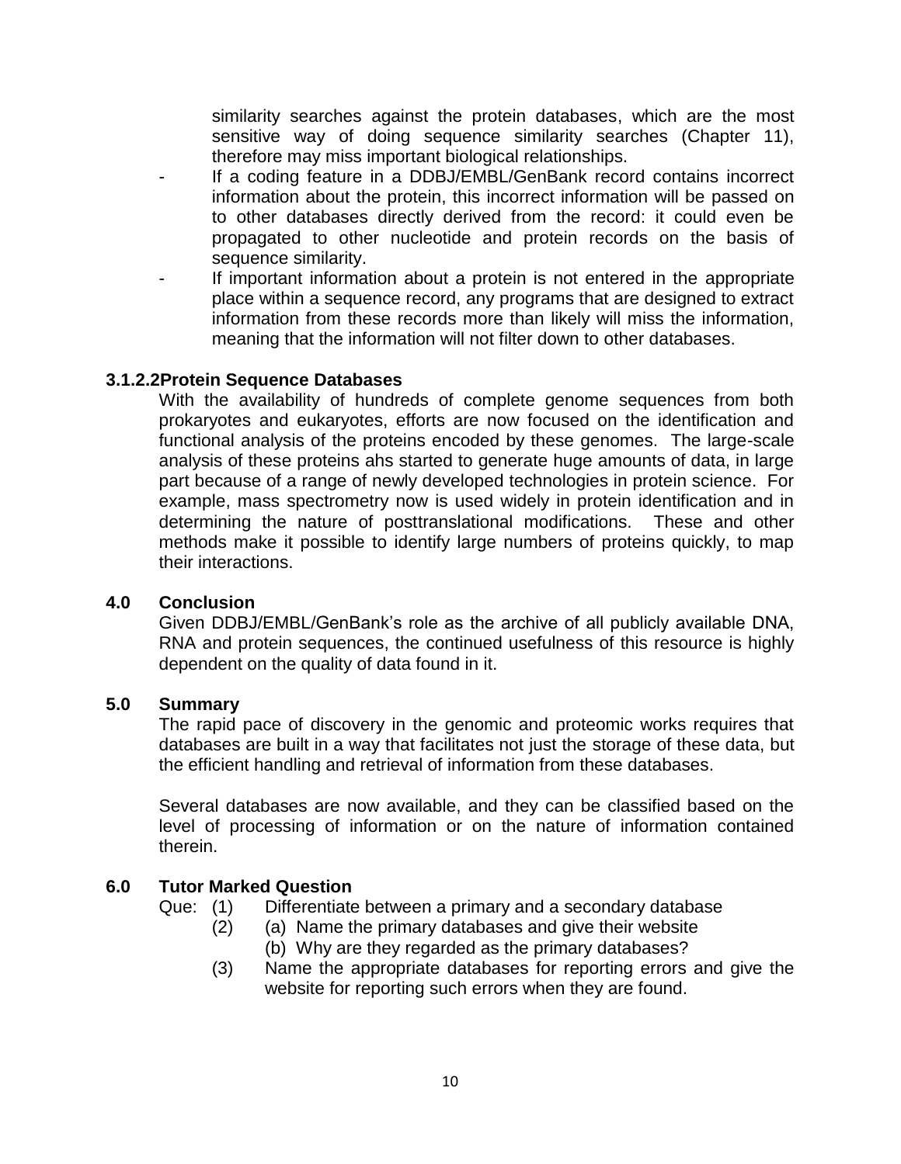similarity searches against the protein databases, which are the most sensitive way of doing sequence similarity searches (Chapter 11), therefore may miss important biological relationships.

- If a coding feature in a DDBJ/EMBL/GenBank record contains incorrect information about the protein, this incorrect information will be passed on to other databases directly derived from the record: it could even be propagated to other nucleotide and protein records on the basis of sequence similarity.
- If important information about a protein is not entered in the appropriate place within a sequence record, any programs that are designed to extract information from these records more than likely will miss the information, meaning that the information will not filter down to other databases.

### **3.1.2.2Protein Sequence Databases**

With the availability of hundreds of complete genome sequences from both prokaryotes and eukaryotes, efforts are now focused on the identification and functional analysis of the proteins encoded by these genomes. The large-scale analysis of these proteins ahs started to generate huge amounts of data, in large part because of a range of newly developed technologies in protein science. For example, mass spectrometry now is used widely in protein identification and in determining the nature of posttranslational modifications. These and other methods make it possible to identify large numbers of proteins quickly, to map their interactions.

### **4.0 Conclusion**

Given DDBJ/EMBL/GenBank"s role as the archive of all publicly available DNA, RNA and protein sequences, the continued usefulness of this resource is highly dependent on the quality of data found in it.

### **5.0 Summary**

The rapid pace of discovery in the genomic and proteomic works requires that databases are built in a way that facilitates not just the storage of these data, but the efficient handling and retrieval of information from these databases.

Several databases are now available, and they can be classified based on the level of processing of information or on the nature of information contained therein.

### **6.0 Tutor Marked Question**

- Que: (1) Differentiate between a primary and a secondary database
	- (2) (a) Name the primary databases and give their website (b) Why are they regarded as the primary databases?
	- (3) Name the appropriate databases for reporting errors and give the website for reporting such errors when they are found.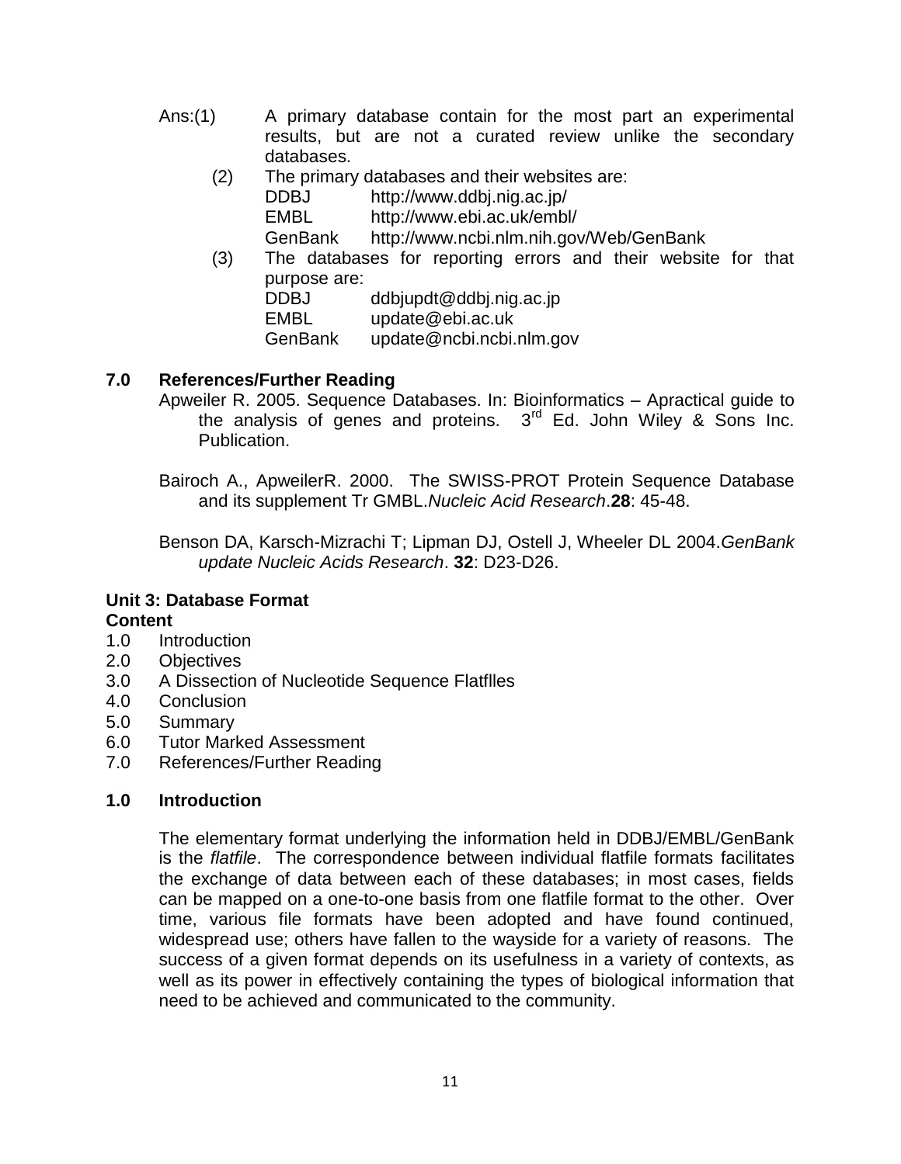- Ans:(1) A primary database contain for the most part an experimental results, but are not a curated review unlike the secondary databases.
	- (2) The primary databases and their websites are:
		- DDBJ http://www.ddbj.nig.ac.jp/ EMBL http://www.ebi.ac.uk/embl/

GenBank http://www.ncbi.nlm.nih.gov/Web/GenBank

(3) The databases for reporting errors and their website for that purpose are:

DDBJ ddbjupdt@ddbj.nig.ac.jp

EMBL update@ebi.ac.uk

GenBank update@ncbi.ncbi.nlm.gov

# **7.0 References/Further Reading**

Apweiler R. 2005. Sequence Databases. In: Bioinformatics – Apractical guide to the analysis of genes and proteins.  $3<sup>rd</sup>$  Ed. John Wiley & Sons Inc. Publication.

Bairoch A., ApweilerR. 2000. The SWISS-PROT Protein Sequence Database and its supplement Tr GMBL.*Nucleic Acid Research*.**28**: 45-48.

Benson DA, Karsch-Mizrachi T; Lipman DJ, Ostell J, Wheeler DL 2004.*GenBank update Nucleic Acids Research*. **32**: D23-D26.

#### **Unit 3: Database Format Content**

- 1.0 Introduction
- 2.0 Objectives
- 3.0 A Dissection of Nucleotide Sequence Flatflles
- 4.0 Conclusion
- 5.0 Summary
- 6.0 Tutor Marked Assessment
- 7.0 References/Further Reading

### **1.0 Introduction**

The elementary format underlying the information held in DDBJ/EMBL/GenBank is the *flatfile*. The correspondence between individual flatfile formats facilitates the exchange of data between each of these databases; in most cases, fields can be mapped on a one-to-one basis from one flatfile format to the other. Over time, various file formats have been adopted and have found continued, widespread use; others have fallen to the wayside for a variety of reasons. The success of a given format depends on its usefulness in a variety of contexts, as well as its power in effectively containing the types of biological information that need to be achieved and communicated to the community.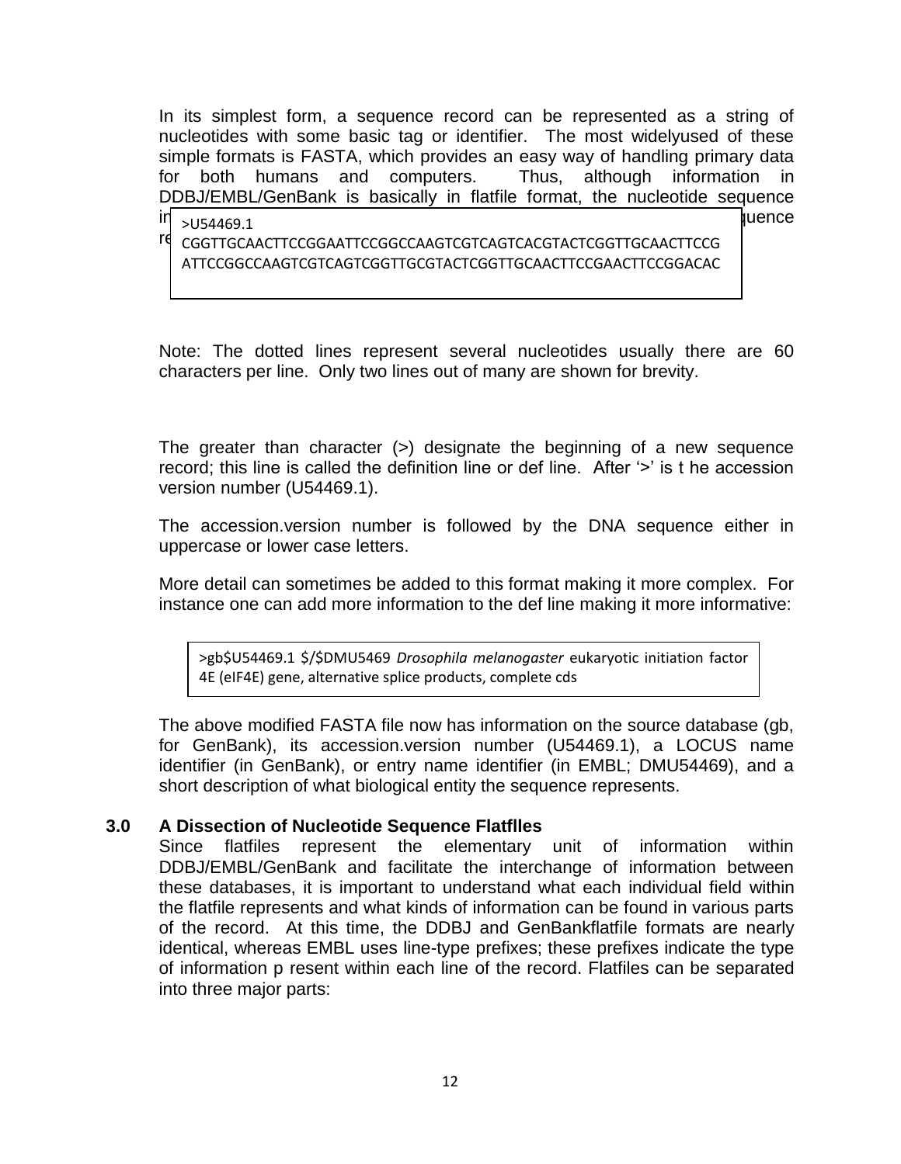In its simplest form, a sequence record can be represented as a string of nucleotides with some basic tag or identifier. The most widelyused of these simple formats is FASTA, which provides an easy way of handling primary data for both humans and computers. Thus, although information in DDBJ/EMBL/GenBank is basically in flatfile format, the nucleotide sequence

 $\mathsf{in}$  in  $\mathsf{in}$  is in FASTA formation in  $\mathsf{in}$  is in FASTA format. FASTA formation in  $\mathsf{in}$  sequence

records take the form: respective form: respective form: respective form: respective form: respective form: re ATTCCGGCCAAGTCGTCAGTCGGTTGCGTACTCGGTTGCAACTTCCGAACTTCCGGACAC

Note: The dotted lines represent several nucleotides usually there are 60 characters per line. Only two lines out of many are shown for brevity.

The greater than character (>) designate the beginning of a new sequence record; this line is called the definition line or def line. After '>' is t he accession version number (U54469.1).

The accession.version number is followed by the DNA sequence either in uppercase or lower case letters.

More detail can sometimes be added to this format making it more complex. For instance one can add more information to the def line making it more informative:

>gb\$U54469.1 \$/\$DMU5469 *Drosophila melanogaster* eukaryotic initiation factor 4E (eIF4E) gene, alternative splice products, complete cds

The above modified FASTA file now has information on the source database (gb, for GenBank), its accession.version number (U54469.1), a LOCUS name identifier (in GenBank), or entry name identifier (in EMBL; DMU54469), and a short description of what biological entity the sequence represents.

### **3.0 A Dissection of Nucleotide Sequence Flatflles**

>U54469.1

Since flatfiles represent the elementary unit of information within DDBJ/EMBL/GenBank and facilitate the interchange of information between these databases, it is important to understand what each individual field within the flatfile represents and what kinds of information can be found in various parts of the record. At this time, the DDBJ and GenBankflatfile formats are nearly identical, whereas EMBL uses line-type prefixes; these prefixes indicate the type of information p resent within each line of the record. Flatfiles can be separated into three major parts: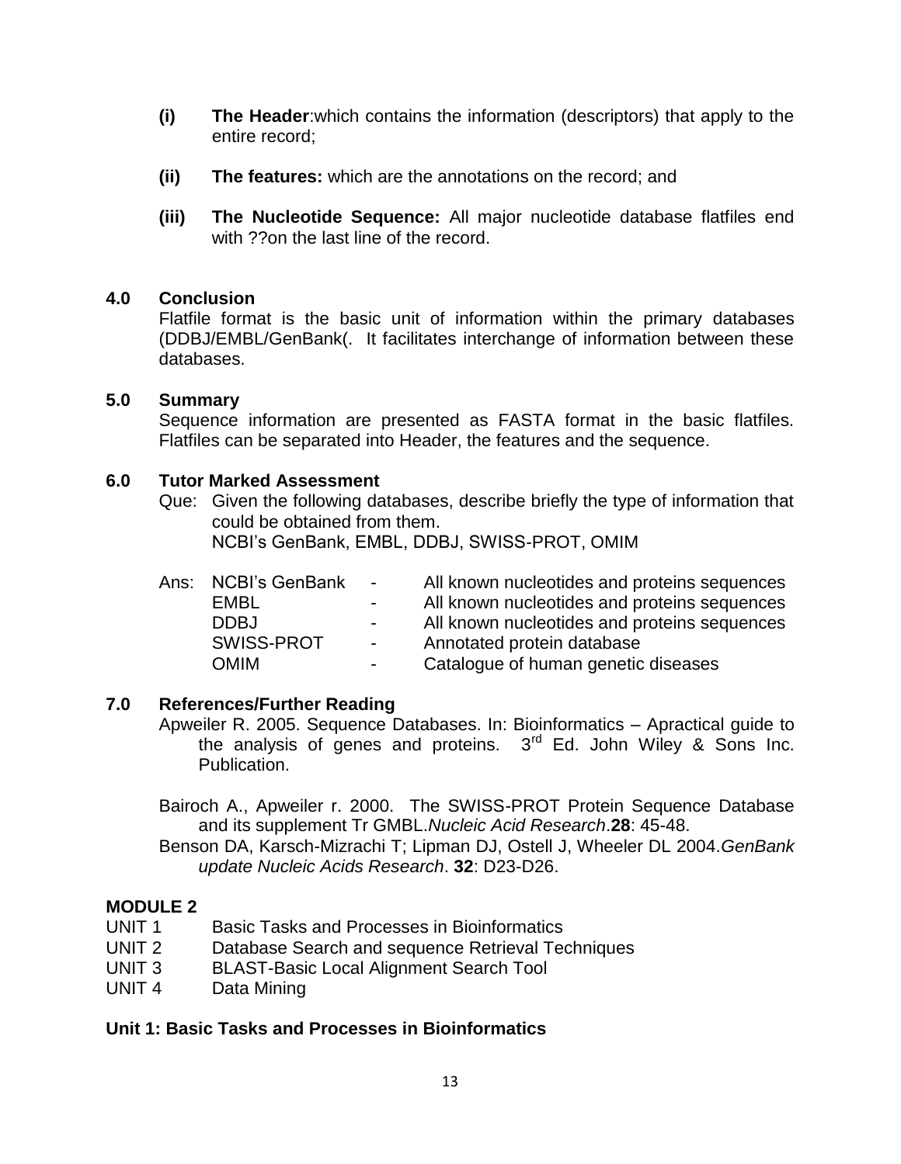- **(i) The Header**:which contains the information (descriptors) that apply to the entire record;
- **(ii) The features:** which are the annotations on the record; and
- **(iii) The Nucleotide Sequence:** All major nucleotide database flatfiles end with ??on the last line of the record.

#### **4.0 Conclusion**

Flatfile format is the basic unit of information within the primary databases (DDBJ/EMBL/GenBank(. It facilitates interchange of information between these databases.

#### **5.0 Summary**

Sequence information are presented as FASTA format in the basic flatfiles. Flatfiles can be separated into Header, the features and the sequence.

### **6.0 Tutor Marked Assessment**

Que: Given the following databases, describe briefly the type of information that could be obtained from them.

NCBI"s GenBank, EMBL, DDBJ, SWISS-PROT, OMIM

| Ans: NCBI's GenBank | $\sim$ 10 $\pm$ | All known nucleotides and proteins sequences |
|---------------------|-----------------|----------------------------------------------|
| EMBL                | $\sim$          | All known nucleotides and proteins sequences |
| <b>DDBJ</b>         | $\sim$          | All known nucleotides and proteins sequences |
| SWISS-PROT          | $\sim 100$      | Annotated protein database                   |
| <b>OMIM</b>         | $\sim$          | Catalogue of human genetic diseases          |

### **7.0 References/Further Reading**

Apweiler R. 2005. Sequence Databases. In: Bioinformatics – Apractical guide to the analysis of genes and proteins.  $3<sup>rd</sup>$  Ed. John Wiley & Sons Inc. Publication.

Bairoch A., Apweiler r. 2000. The SWISS-PROT Protein Sequence Database and its supplement Tr GMBL.*Nucleic Acid Research*.**28**: 45-48.

Benson DA, Karsch-Mizrachi T; Lipman DJ, Ostell J, Wheeler DL 2004.*GenBank update Nucleic Acids Research*. **32**: D23-D26.

### **MODULE 2**

- UNIT 1 Basic Tasks and Processes in Bioinformatics
- UNIT 2 Database Search and sequence Retrieval Techniques
- UNIT 3 BLAST-Basic Local Alignment Search Tool
- UNIT 4 Data Mining

### **Unit 1: Basic Tasks and Processes in Bioinformatics**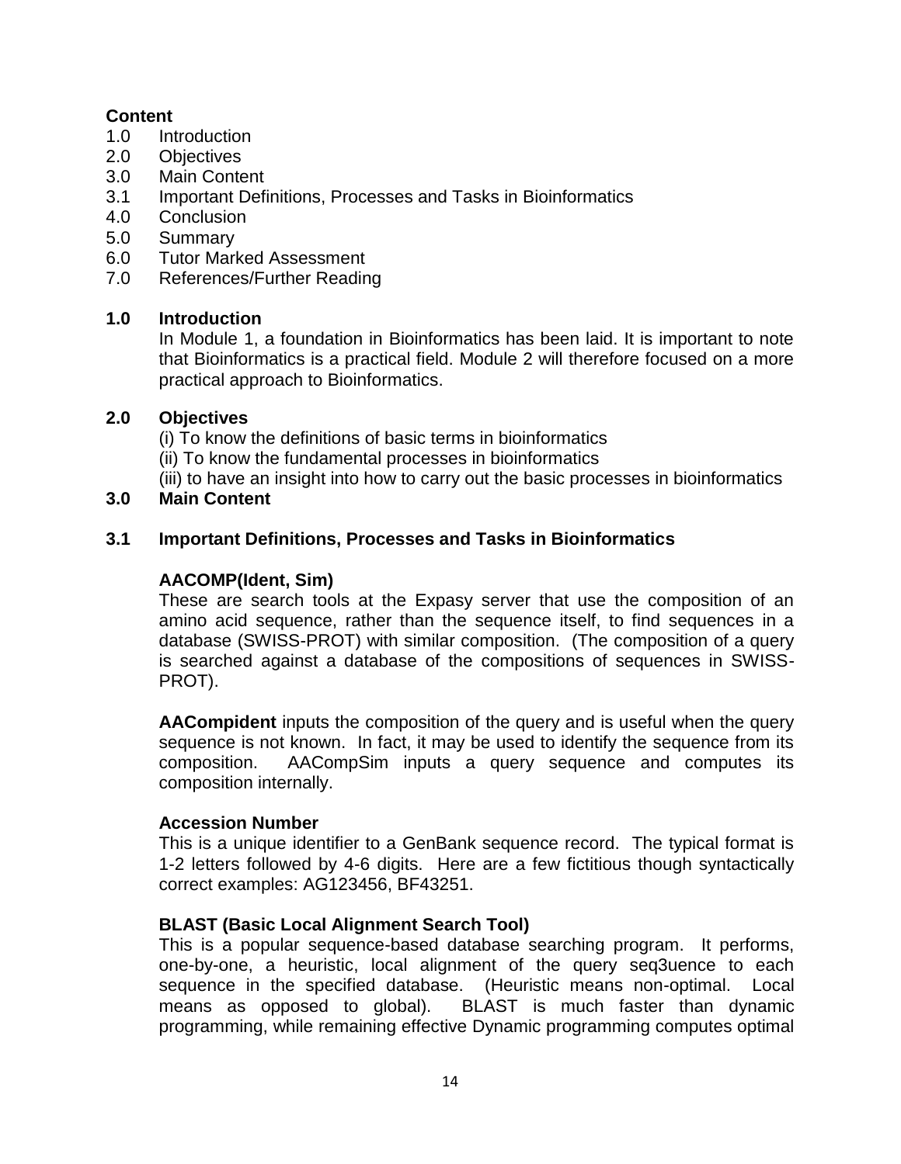# **Content**

- 1.0 Introduction
- 2.0 Objectives
- 3.0 Main Content
- 3.1 Important Definitions, Processes and Tasks in Bioinformatics
- 4.0 Conclusion
- 5.0 Summary
- 6.0 Tutor Marked Assessment
- 7.0 References/Further Reading

# **1.0 Introduction**

In Module 1, a foundation in Bioinformatics has been laid. It is important to note that Bioinformatics is a practical field. Module 2 will therefore focused on a more practical approach to Bioinformatics.

# **2.0 Objectives**

(i) To know the definitions of basic terms in bioinformatics

(ii) To know the fundamental processes in bioinformatics

(iii) to have an insight into how to carry out the basic processes in bioinformatics

# **3.0 Main Content**

# **3.1 Important Definitions, Processes and Tasks in Bioinformatics**

### **AACOMP(Ident, Sim)**

These are search tools at the Expasy server that use the composition of an amino acid sequence, rather than the sequence itself, to find sequences in a database (SWISS-PROT) with similar composition. (The composition of a query is searched against a database of the compositions of sequences in SWISS-PROT).

**AACompident** inputs the composition of the query and is useful when the query sequence is not known. In fact, it may be used to identify the sequence from its composition. AACompSim inputs a query sequence and computes its composition internally.

### **Accession Number**

This is a unique identifier to a GenBank sequence record. The typical format is 1-2 letters followed by 4-6 digits. Here are a few fictitious though syntactically correct examples: AG123456, BF43251.

# **BLAST (Basic Local Alignment Search Tool)**

This is a popular sequence-based database searching program. It performs, one-by-one, a heuristic, local alignment of the query seq3uence to each sequence in the specified database. (Heuristic means non-optimal. Local means as opposed to global). BLAST is much faster than dynamic programming, while remaining effective Dynamic programming computes optimal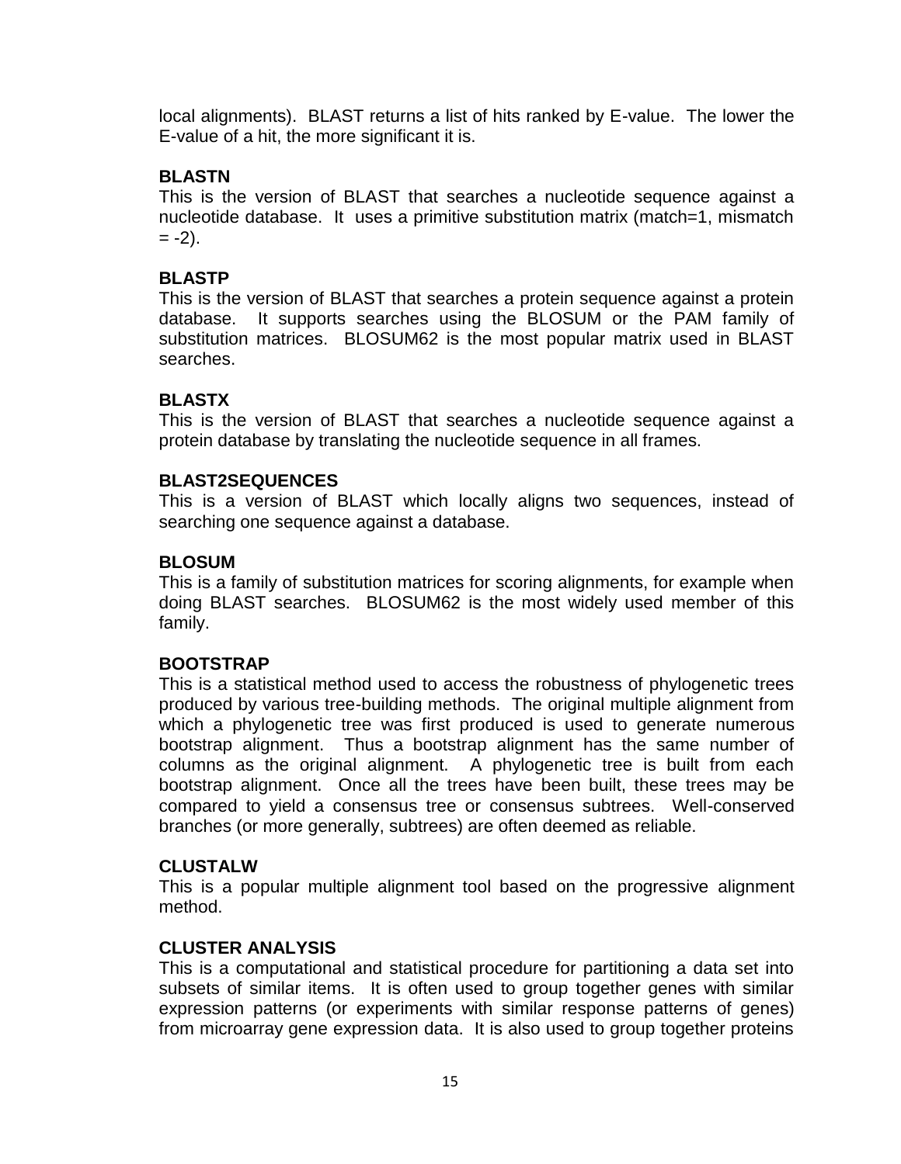local alignments). BLAST returns a list of hits ranked by E-value. The lower the E-value of a hit, the more significant it is.

# **BLASTN**

This is the version of BLAST that searches a nucleotide sequence against a nucleotide database. It uses a primitive substitution matrix (match=1, mismatch  $= -2$ ).

### **BLASTP**

This is the version of BLAST that searches a protein sequence against a protein database. It supports searches using the BLOSUM or the PAM family of substitution matrices. BLOSUM62 is the most popular matrix used in BLAST searches.

# **BLASTX**

This is the version of BLAST that searches a nucleotide sequence against a protein database by translating the nucleotide sequence in all frames.

### **BLAST2SEQUENCES**

This is a version of BLAST which locally aligns two sequences, instead of searching one sequence against a database.

### **BLOSUM**

This is a family of substitution matrices for scoring alignments, for example when doing BLAST searches. BLOSUM62 is the most widely used member of this family.

### **BOOTSTRAP**

This is a statistical method used to access the robustness of phylogenetic trees produced by various tree-building methods. The original multiple alignment from which a phylogenetic tree was first produced is used to generate numerous bootstrap alignment. Thus a bootstrap alignment has the same number of columns as the original alignment. A phylogenetic tree is built from each bootstrap alignment. Once all the trees have been built, these trees may be compared to yield a consensus tree or consensus subtrees. Well-conserved branches (or more generally, subtrees) are often deemed as reliable.

### **CLUSTALW**

This is a popular multiple alignment tool based on the progressive alignment method.

### **CLUSTER ANALYSIS**

This is a computational and statistical procedure for partitioning a data set into subsets of similar items. It is often used to group together genes with similar expression patterns (or experiments with similar response patterns of genes) from microarray gene expression data. It is also used to group together proteins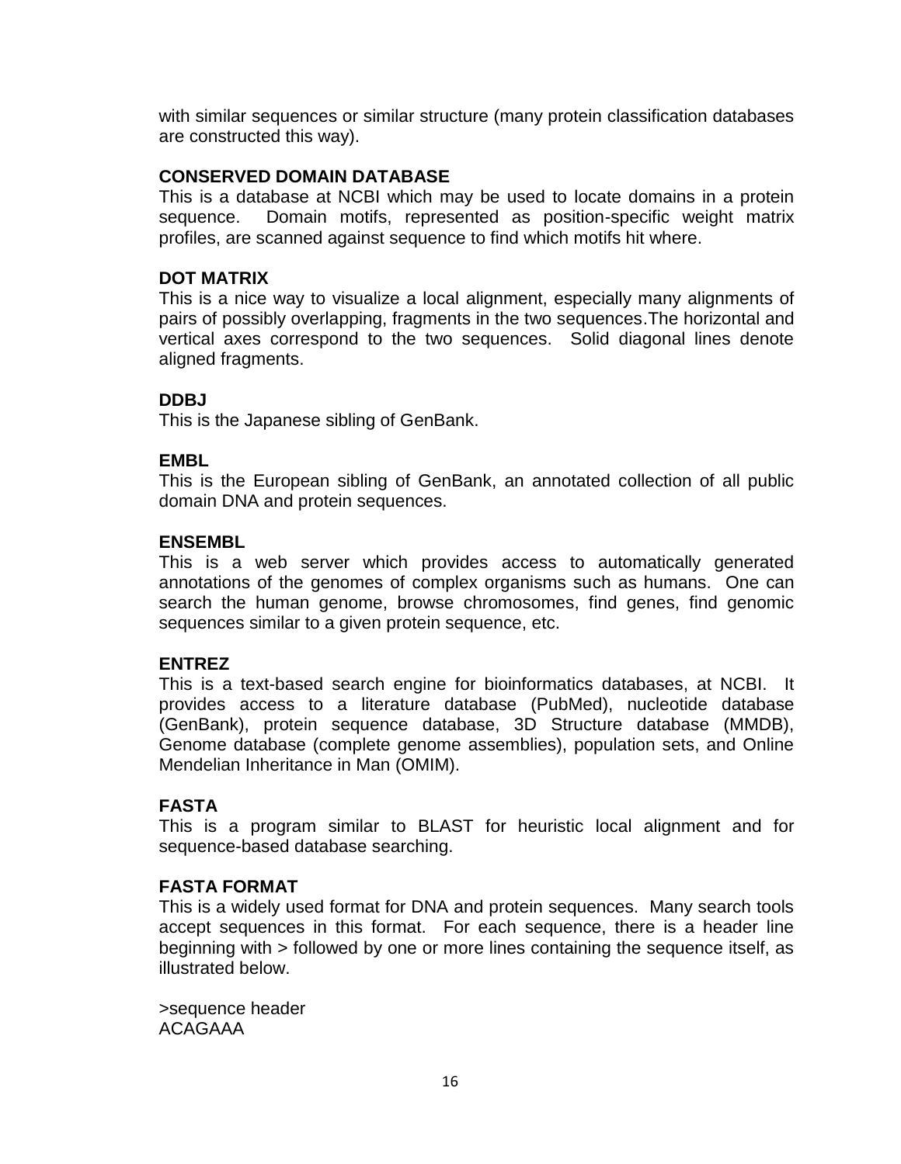with similar sequences or similar structure (many protein classification databases are constructed this way).

#### **CONSERVED DOMAIN DATABASE**

This is a database at NCBI which may be used to locate domains in a protein sequence. Domain motifs, represented as position-specific weight matrix profiles, are scanned against sequence to find which motifs hit where.

#### **DOT MATRIX**

This is a nice way to visualize a local alignment, especially many alignments of pairs of possibly overlapping, fragments in the two sequences.The horizontal and vertical axes correspond to the two sequences. Solid diagonal lines denote aligned fragments.

#### **DDBJ**

This is the Japanese sibling of GenBank.

### **EMBL**

This is the European sibling of GenBank, an annotated collection of all public domain DNA and protein sequences.

#### **ENSEMBL**

This is a web server which provides access to automatically generated annotations of the genomes of complex organisms such as humans. One can search the human genome, browse chromosomes, find genes, find genomic sequences similar to a given protein sequence, etc.

### **ENTREZ**

This is a text-based search engine for bioinformatics databases, at NCBI. It provides access to a literature database (PubMed), nucleotide database (GenBank), protein sequence database, 3D Structure database (MMDB), Genome database (complete genome assemblies), population sets, and Online Mendelian Inheritance in Man (OMIM).

### **FASTA**

This is a program similar to BLAST for heuristic local alignment and for sequence-based database searching.

#### **FASTA FORMAT**

This is a widely used format for DNA and protein sequences. Many search tools accept sequences in this format. For each sequence, there is a header line beginning with > followed by one or more lines containing the sequence itself, as illustrated below.

>sequence header ACAGAAA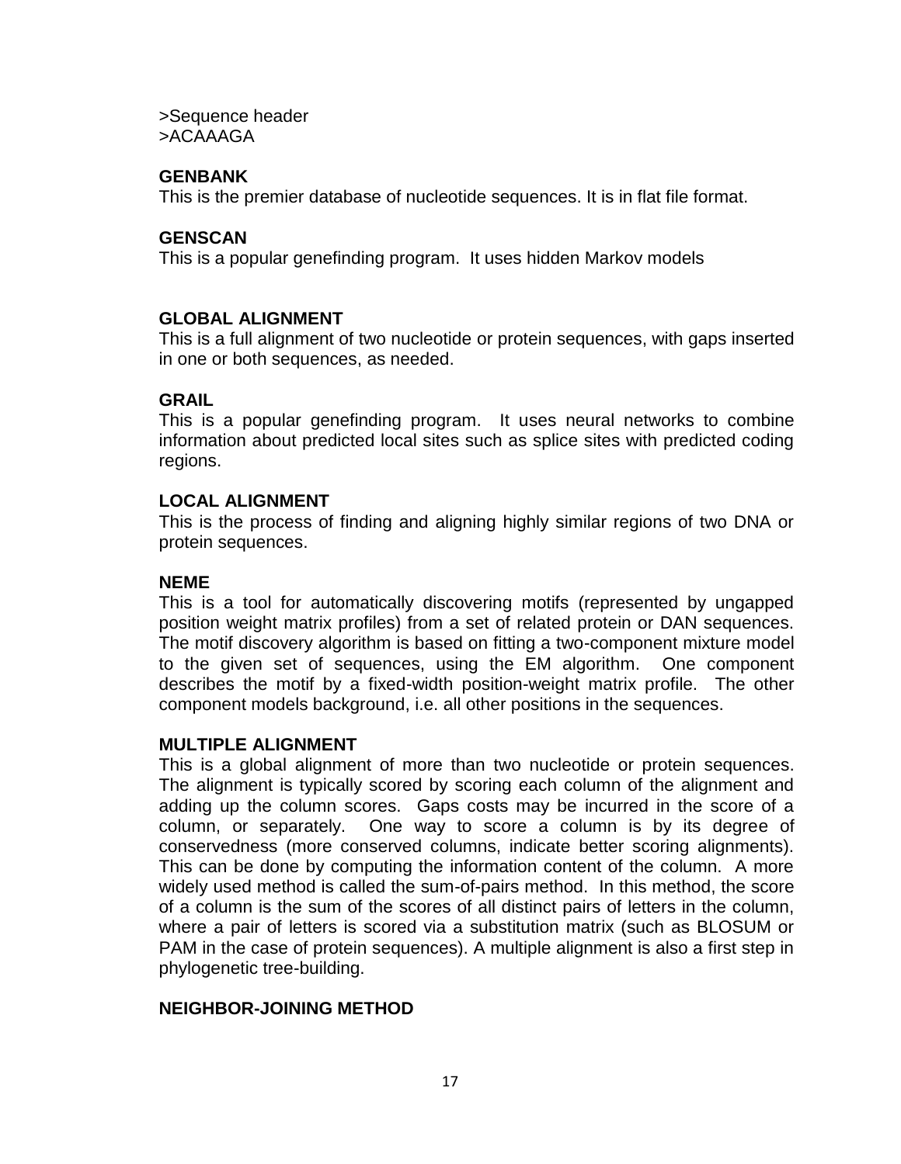>Sequence header >ACAAAGA

#### **GENBANK**

This is the premier database of nucleotide sequences. It is in flat file format.

#### **GENSCAN**

This is a popular genefinding program. It uses hidden Markov models

#### **GLOBAL ALIGNMENT**

This is a full alignment of two nucleotide or protein sequences, with gaps inserted in one or both sequences, as needed.

#### **GRAIL**

This is a popular genefinding program. It uses neural networks to combine information about predicted local sites such as splice sites with predicted coding regions.

#### **LOCAL ALIGNMENT**

This is the process of finding and aligning highly similar regions of two DNA or protein sequences.

#### **NEME**

This is a tool for automatically discovering motifs (represented by ungapped position weight matrix profiles) from a set of related protein or DAN sequences. The motif discovery algorithm is based on fitting a two-component mixture model to the given set of sequences, using the EM algorithm. One component describes the motif by a fixed-width position-weight matrix profile. The other component models background, i.e. all other positions in the sequences.

#### **MULTIPLE ALIGNMENT**

This is a global alignment of more than two nucleotide or protein sequences. The alignment is typically scored by scoring each column of the alignment and adding up the column scores. Gaps costs may be incurred in the score of a column, or separately. One way to score a column is by its degree of conservedness (more conserved columns, indicate better scoring alignments). This can be done by computing the information content of the column. A more widely used method is called the sum-of-pairs method. In this method, the score of a column is the sum of the scores of all distinct pairs of letters in the column, where a pair of letters is scored via a substitution matrix (such as BLOSUM or PAM in the case of protein sequences). A multiple alignment is also a first step in phylogenetic tree-building.

### **NEIGHBOR-JOINING METHOD**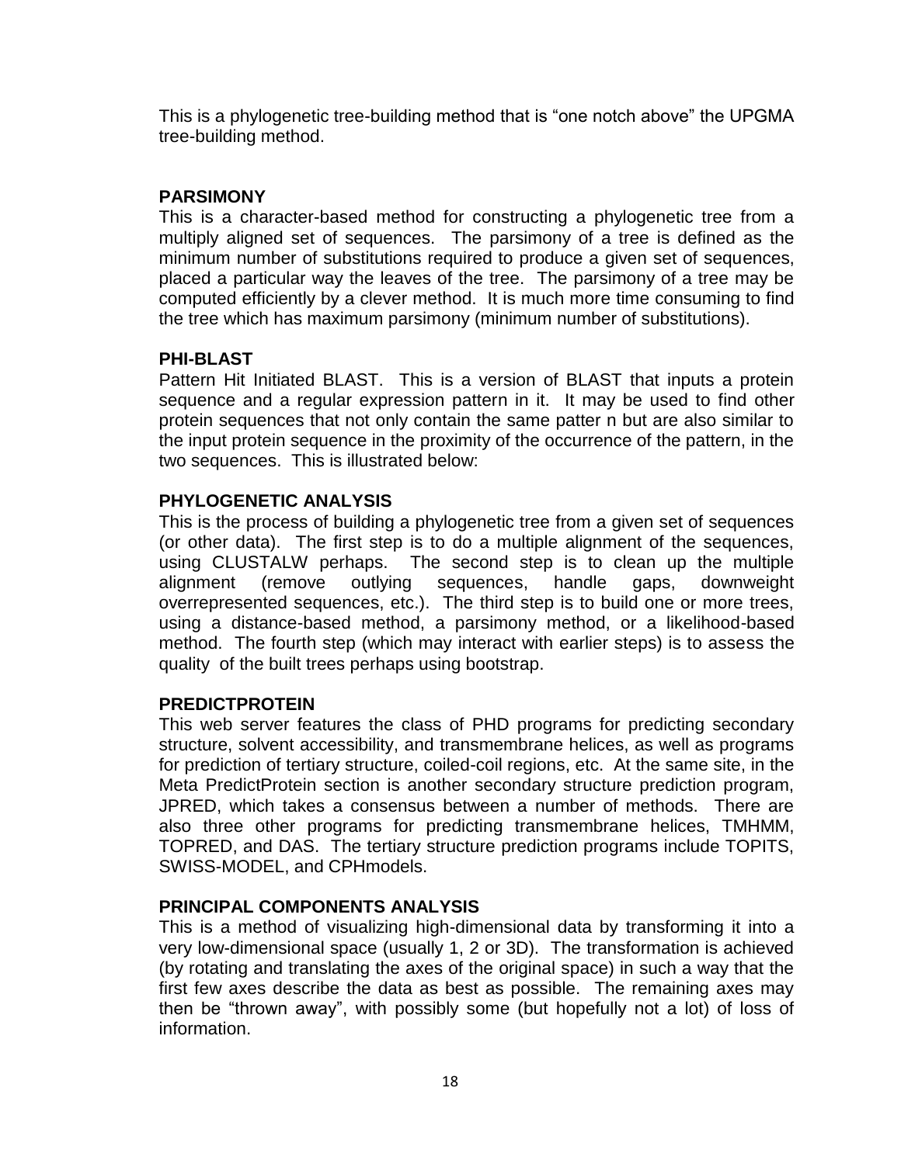This is a phylogenetic tree-building method that is "one notch above" the UPGMA tree-building method.

# **PARSIMONY**

This is a character-based method for constructing a phylogenetic tree from a multiply aligned set of sequences. The parsimony of a tree is defined as the minimum number of substitutions required to produce a given set of sequences, placed a particular way the leaves of the tree. The parsimony of a tree may be computed efficiently by a clever method. It is much more time consuming to find the tree which has maximum parsimony (minimum number of substitutions).

# **PHI-BLAST**

Pattern Hit Initiated BLAST. This is a version of BLAST that inputs a protein sequence and a regular expression pattern in it. It may be used to find other protein sequences that not only contain the same patter n but are also similar to the input protein sequence in the proximity of the occurrence of the pattern, in the two sequences. This is illustrated below:

# **PHYLOGENETIC ANALYSIS**

This is the process of building a phylogenetic tree from a given set of sequences (or other data). The first step is to do a multiple alignment of the sequences, using CLUSTALW perhaps. The second step is to clean up the multiple alignment (remove outlying sequences, handle gaps, downweight overrepresented sequences, etc.). The third step is to build one or more trees, using a distance-based method, a parsimony method, or a likelihood-based method. The fourth step (which may interact with earlier steps) is to assess the quality of the built trees perhaps using bootstrap.

### **PREDICTPROTEIN**

This web server features the class of PHD programs for predicting secondary structure, solvent accessibility, and transmembrane helices, as well as programs for prediction of tertiary structure, coiled-coil regions, etc. At the same site, in the Meta PredictProtein section is another secondary structure prediction program, JPRED, which takes a consensus between a number of methods. There are also three other programs for predicting transmembrane helices, TMHMM, TOPRED, and DAS. The tertiary structure prediction programs include TOPITS, SWISS-MODEL, and CPHmodels.

### **PRINCIPAL COMPONENTS ANALYSIS**

This is a method of visualizing high-dimensional data by transforming it into a very low-dimensional space (usually 1, 2 or 3D). The transformation is achieved (by rotating and translating the axes of the original space) in such a way that the first few axes describe the data as best as possible. The remaining axes may then be "thrown away", with possibly some (but hopefully not a lot) of loss of information.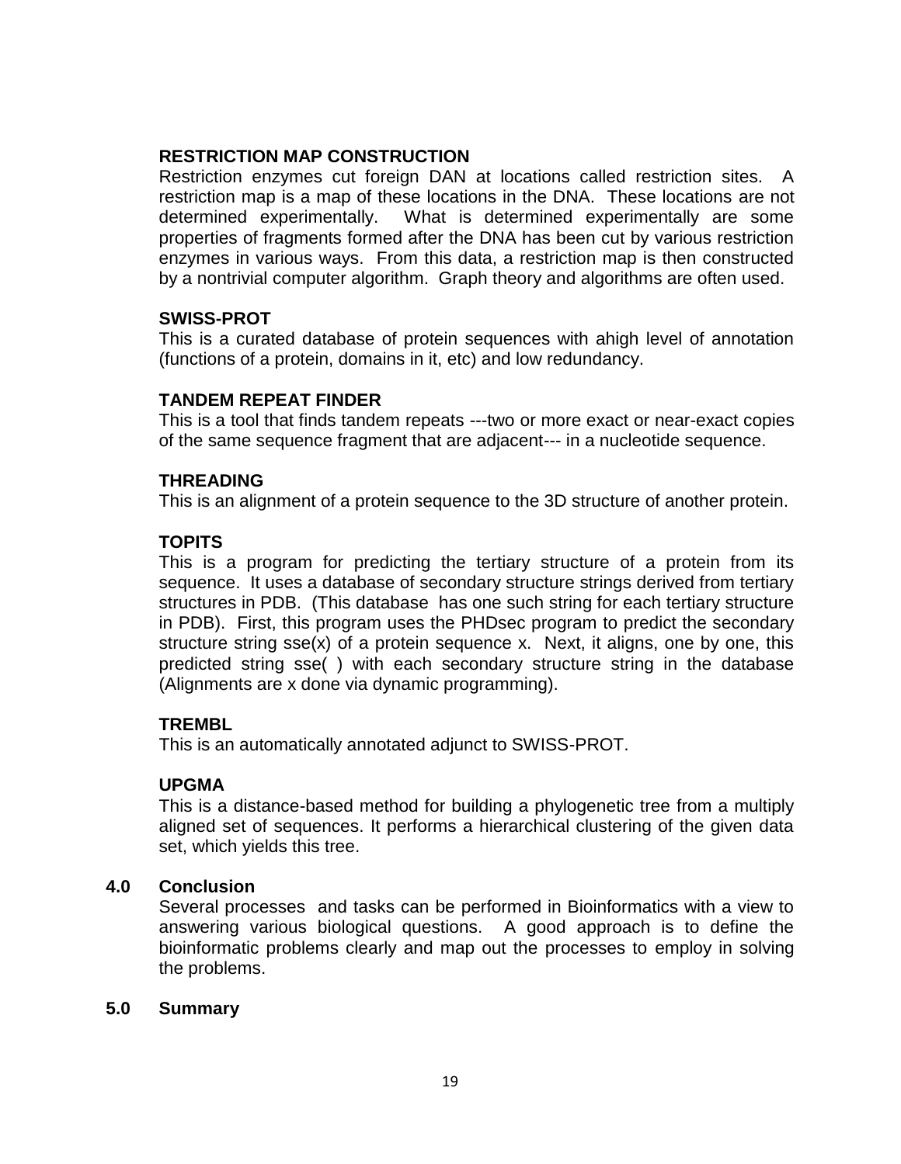### **RESTRICTION MAP CONSTRUCTION**

Restriction enzymes cut foreign DAN at locations called restriction sites. A restriction map is a map of these locations in the DNA. These locations are not determined experimentally. What is determined experimentally are some properties of fragments formed after the DNA has been cut by various restriction enzymes in various ways. From this data, a restriction map is then constructed by a nontrivial computer algorithm. Graph theory and algorithms are often used.

#### **SWISS-PROT**

This is a curated database of protein sequences with ahigh level of annotation (functions of a protein, domains in it, etc) and low redundancy.

#### **TANDEM REPEAT FINDER**

This is a tool that finds tandem repeats ---two or more exact or near-exact copies of the same sequence fragment that are adjacent--- in a nucleotide sequence.

#### **THREADING**

This is an alignment of a protein sequence to the 3D structure of another protein.

### **TOPITS**

This is a program for predicting the tertiary structure of a protein from its sequence. It uses a database of secondary structure strings derived from tertiary structures in PDB. (This database has one such string for each tertiary structure in PDB). First, this program uses the PHDsec program to predict the secondary structure string sse(x) of a protein sequence x. Next, it aligns, one by one, this predicted string sse( ) with each secondary structure string in the database (Alignments are x done via dynamic programming).

### **TREMBL**

This is an automatically annotated adjunct to SWISS-PROT.

### **UPGMA**

This is a distance-based method for building a phylogenetic tree from a multiply aligned set of sequences. It performs a hierarchical clustering of the given data set, which yields this tree.

### **4.0 Conclusion**

Several processes and tasks can be performed in Bioinformatics with a view to answering various biological questions. A good approach is to define the bioinformatic problems clearly and map out the processes to employ in solving the problems.

#### **5.0 Summary**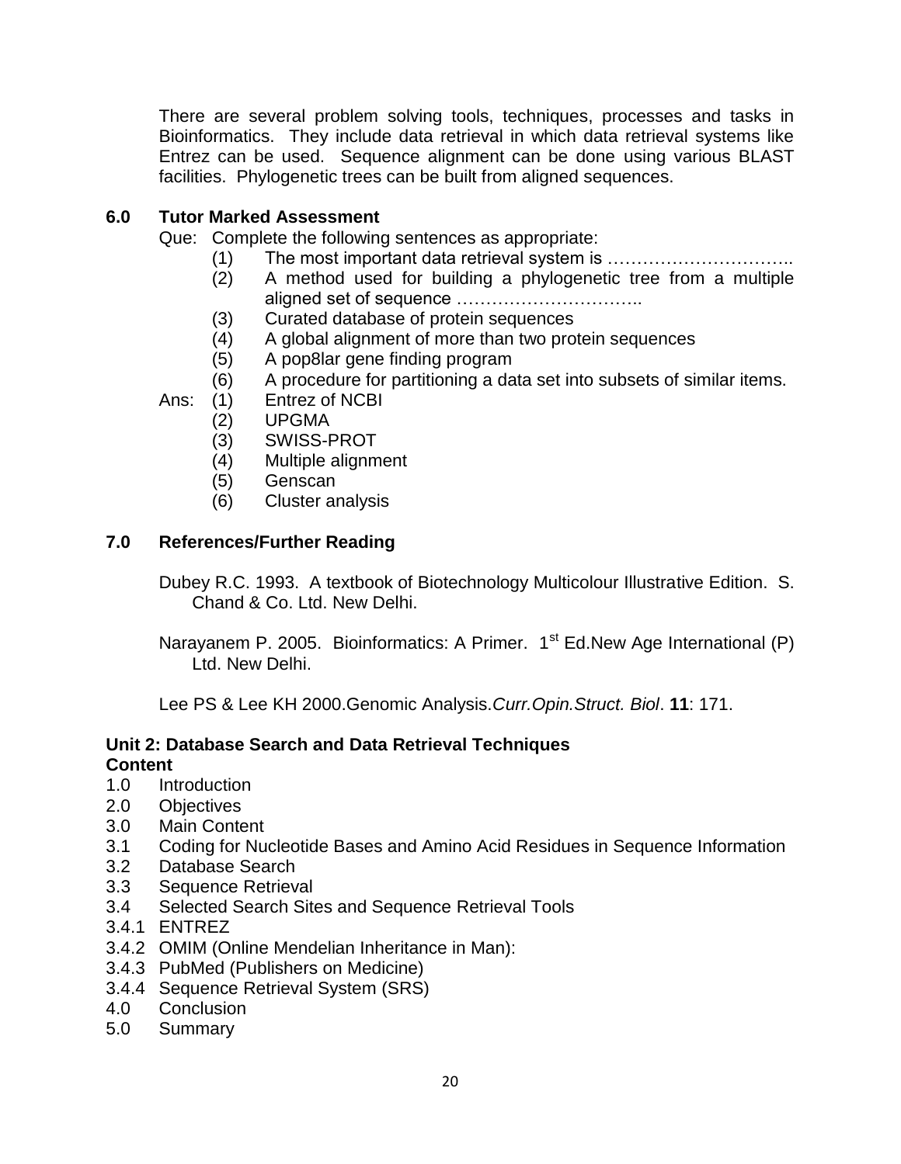There are several problem solving tools, techniques, processes and tasks in Bioinformatics. They include data retrieval in which data retrieval systems like Entrez can be used. Sequence alignment can be done using various BLAST facilities. Phylogenetic trees can be built from aligned sequences.

# **6.0 Tutor Marked Assessment**

Que: Complete the following sentences as appropriate:

- (1) The most important data retrieval system is …………………………..
- (2) A method used for building a phylogenetic tree from a multiple aligned set of sequence …………………………..
- (3) Curated database of protein sequences
- (4) A global alignment of more than two protein sequences
- (5) A pop8lar gene finding program
- (6) A procedure for partitioning a data set into subsets of similar items.
- Ans: (1) Entrez of NCBI
	- (2) UPGMA
	- (3) SWISS-PROT
	- (4) Multiple alignment
	- (5) Genscan
	- (6) Cluster analysis

# **7.0 References/Further Reading**

Dubey R.C. 1993. A textbook of Biotechnology Multicolour Illustrative Edition. S. Chand & Co. Ltd. New Delhi.

Narayanem P. 2005. Bioinformatics: A Primer. 1<sup>st</sup> Ed.New Age International (P) Ltd. New Delhi.

Lee PS & Lee KH 2000.Genomic Analysis.*Curr.Opin.Struct. Biol*. **11**: 171.

# **Unit 2: Database Search and Data Retrieval Techniques Content**

- 1.0 Introduction
- 2.0 Objectives
- 3.0 Main Content
- 3.1 Coding for Nucleotide Bases and Amino Acid Residues in Sequence Information
- 3.2 Database Search
- 3.3 Sequence Retrieval
- 3.4 Selected Search Sites and Sequence Retrieval Tools
- 3.4.1 ENTREZ
- 3.4.2 OMIM (Online Mendelian Inheritance in Man):
- 3.4.3 PubMed (Publishers on Medicine)
- 3.4.4 Sequence Retrieval System (SRS)
- 4.0 Conclusion
- 5.0 Summary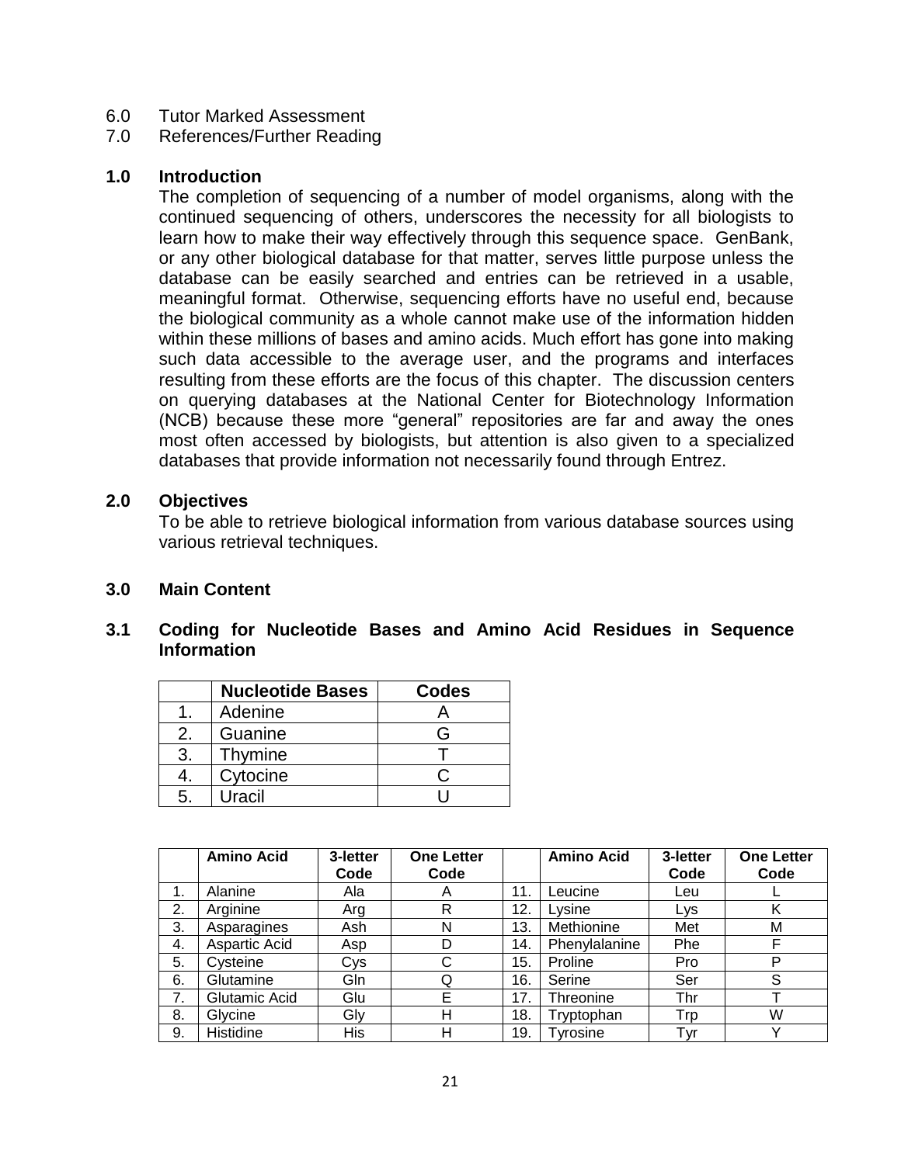- 6.0 Tutor Marked Assessment
- 7.0 References/Further Reading

#### **1.0 Introduction**

The completion of sequencing of a number of model organisms, along with the continued sequencing of others, underscores the necessity for all biologists to learn how to make their way effectively through this sequence space. GenBank, or any other biological database for that matter, serves little purpose unless the database can be easily searched and entries can be retrieved in a usable, meaningful format. Otherwise, sequencing efforts have no useful end, because the biological community as a whole cannot make use of the information hidden within these millions of bases and amino acids. Much effort has gone into making such data accessible to the average user, and the programs and interfaces resulting from these efforts are the focus of this chapter. The discussion centers on querying databases at the National Center for Biotechnology Information (NCB) because these more "general" repositories are far and away the ones most often accessed by biologists, but attention is also given to a specialized databases that provide information not necessarily found through Entrez.

#### **2.0 Objectives**

To be able to retrieve biological information from various database sources using various retrieval techniques.

### **3.0 Main Content**

### **3.1 Coding for Nucleotide Bases and Amino Acid Residues in Sequence Information**

|    | <b>Nucleotide Bases</b> | <b>Codes</b> |
|----|-------------------------|--------------|
|    | Adenine                 |              |
|    | Guanine                 | Բ            |
| 3. | Thymine                 |              |
|    | Cytocine                |              |
| 5. | Uracil                  |              |

|    | <b>Amino Acid</b> | 3-letter | <b>One Letter</b> |     | <b>Amino Acid</b> | 3-letter   | <b>One Letter</b> |
|----|-------------------|----------|-------------------|-----|-------------------|------------|-------------------|
|    |                   | Code     | Code              |     |                   | Code       | Code              |
| 1. | Alanine           | Ala      | A                 | 11. | Leucine           | Leu        |                   |
| 2. | Arginine          | Arg      | R                 | 12. | Lysine            | <b>Lys</b> |                   |
| 3. | Asparagines       | Ash      | Ν                 | 13. | Methionine        | Met        | М                 |
| 4. | Aspartic Acid     | Asp      | D                 | 14. | Phenylalanine     | Phe        |                   |
| 5. | Cysteine          | Cys      | С                 | 15. | Proline           | Pro        | D                 |
| 6. | Glutamine         | Gln      | Q                 | 16. | Serine            | Ser        |                   |
| 7. | Glutamic Acid     | Glu      | E                 | 17. | Threonine         | Thr        |                   |
| 8. | Glycine           | Gly      | н                 | 18. | Tryptophan        | Trp        | W                 |
| 9. | Histidine         | His      | Н                 | 19. | Tyrosine          | Tyr        |                   |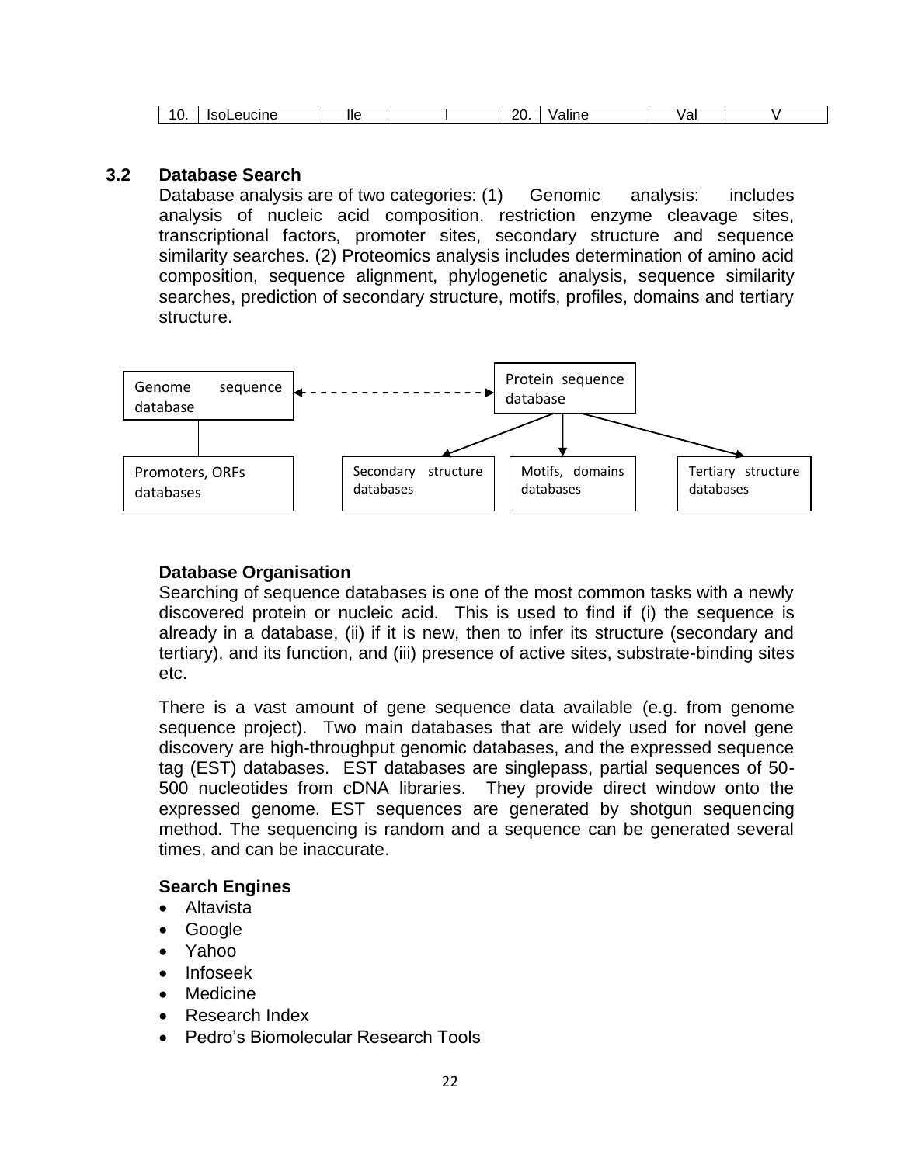| ״<br>. .<br>יי<br>ີບເ |
|-----------------------|
|-----------------------|

#### **3.2 Database Search**

Database analysis are of two categories: (1) Genomic analysis: includes analysis of nucleic acid composition, restriction enzyme cleavage sites, transcriptional factors, promoter sites, secondary structure and sequence similarity searches. (2) Proteomics analysis includes determination of amino acid composition, sequence alignment, phylogenetic analysis, sequence similarity searches, prediction of secondary structure, motifs, profiles, domains and tertiary structure.



### **Database Organisation**

Searching of sequence databases is one of the most common tasks with a newly discovered protein or nucleic acid. This is used to find if (i) the sequence is already in a database, (ii) if it is new, then to infer its structure (secondary and tertiary), and its function, and (iii) presence of active sites, substrate-binding sites etc.

There is a vast amount of gene sequence data available (e.g. from genome sequence project). Two main databases that are widely used for novel gene discovery are high-throughput genomic databases, and the expressed sequence tag (EST) databases. EST databases are singlepass, partial sequences of 50- 500 nucleotides from cDNA libraries. They provide direct window onto the expressed genome. EST sequences are generated by shotgun sequencing method. The sequencing is random and a sequence can be generated several times, and can be inaccurate.

### **Search Engines**

- Altavista
- Google
- Yahoo
- Infoseek
- Medicine
- Research Index
- Pedro"s Biomolecular Research Tools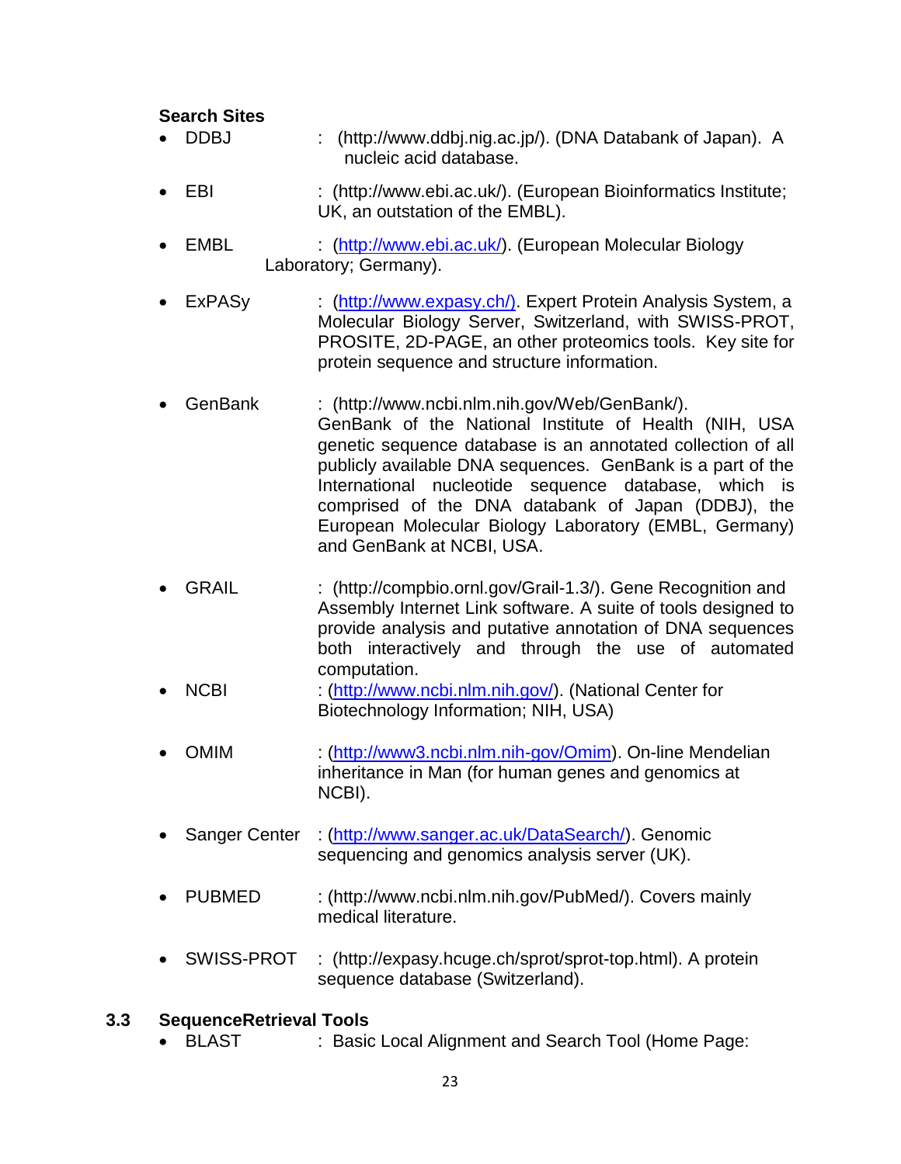#### **Search Sites**

- DDBJ : (http://www.ddbj.nig.ac.jp/). (DNA Databank of Japan). A nucleic acid database.
- EBI : (http://www.ebi.ac.uk/). (European Bioinformatics Institute; UK, an outstation of the EMBL).
- EMBL : [\(http://www.ebi.ac.uk/\)](http://www.ebi.ac.uk/). (European Molecular Biology Laboratory; Germany).
- ExPASy : [\(http://www.expasy.ch/\).](http://www.expasy.ch/)) Expert Protein Analysis System, a Molecular Biology Server, Switzerland, with SWISS-PROT, PROSITE, 2D-PAGE, an other proteomics tools. Key site for protein sequence and structure information.
- GenBank : (http://www.ncbi.nlm.nih.gov/Web/GenBank/). GenBank of the National Institute of Health (NIH, USA genetic sequence database is an annotated collection of all publicly available DNA sequences. GenBank is a part of the International nucleotide sequence database, which is comprised of the DNA databank of Japan (DDBJ), the European Molecular Biology Laboratory (EMBL, Germany) and GenBank at NCBI, USA.
- GRAIL : (http://compbio.ornl.gov/Grail-1.3/). Gene Recognition and Assembly Internet Link software. A suite of tools designed to provide analysis and putative annotation of DNA sequences both interactively and through the use of automated computation.
- NCBI : [\(http://www.ncbi.nlm.nih.gov/\)](http://www.ncbi.nlm.nih.gov/). (National Center for Biotechnology Information; NIH, USA)
- OMIM : [\(http://www3.ncbi.nlm.nih-gov/Omim\)](http://www3.ncbi.nlm.nih-gov/Omim). On-line Mendelian inheritance in Man (for human genes and genomics at NCBI).
- Sanger Center : [\(http://www.sanger.ac.uk/DataSearch/\)](http://www.sanger.ac.uk/DataSearch/). Genomic sequencing and genomics analysis server (UK).
- PUBMED : (http://www.ncbi.nlm.nih.gov/PubMed/). Covers mainly medical literature.
- SWISS-PROT : (http://expasy.hcuge.ch/sprot/sprot-top.html). A protein sequence database (Switzerland).

### **3.3 SequenceRetrieval Tools**

BLAST : Basic Local Alignment and Search Tool (Home Page: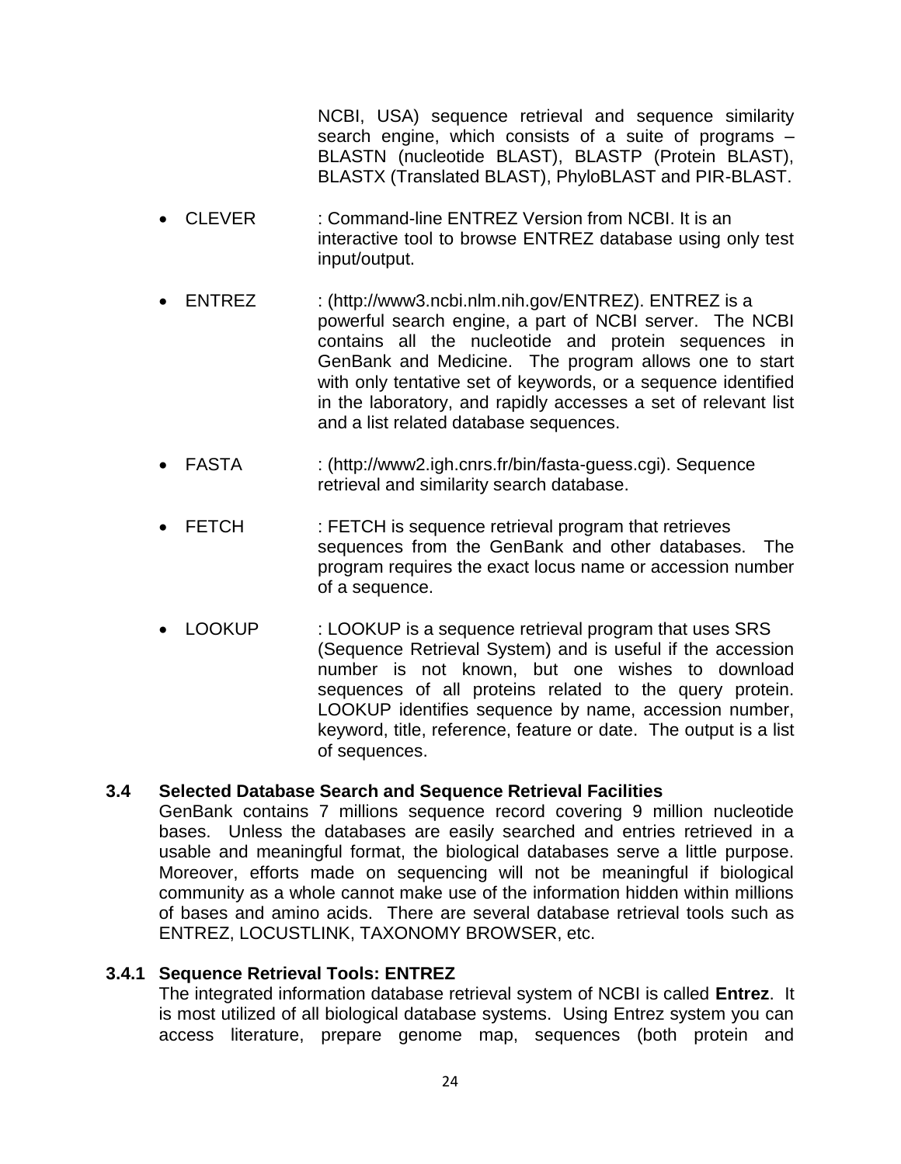NCBI, USA) sequence retrieval and sequence similarity search engine, which consists of a suite of programs – BLASTN (nucleotide BLAST), BLASTP (Protein BLAST), BLASTX (Translated BLAST), PhyloBLAST and PIR-BLAST.

- CLEVER : Command-line ENTREZ Version from NCBI. It is an interactive tool to browse ENTREZ database using only test input/output.
- ENTREZ : (http://www3.ncbi.nlm.nih.gov/ENTREZ). ENTREZ is a powerful search engine, a part of NCBI server. The NCBI contains all the nucleotide and protein sequences in GenBank and Medicine. The program allows one to start with only tentative set of keywords, or a sequence identified in the laboratory, and rapidly accesses a set of relevant list and a list related database sequences.
- FASTA : (http://www2.igh.cnrs.fr/bin/fasta-guess.cgi). Sequence retrieval and similarity search database.
- FETCH : FETCH is sequence retrieval program that retrieves sequences from the GenBank and other databases. The program requires the exact locus name or accession number of a sequence.
- LOOKUP : LOOKUP is a sequence retrieval program that uses SRS (Sequence Retrieval System) and is useful if the accession number is not known, but one wishes to download sequences of all proteins related to the query protein. LOOKUP identifies sequence by name, accession number, keyword, title, reference, feature or date. The output is a list of sequences.

# **3.4 Selected Database Search and Sequence Retrieval Facilities**

GenBank contains 7 millions sequence record covering 9 million nucleotide bases. Unless the databases are easily searched and entries retrieved in a usable and meaningful format, the biological databases serve a little purpose. Moreover, efforts made on sequencing will not be meaningful if biological community as a whole cannot make use of the information hidden within millions of bases and amino acids. There are several database retrieval tools such as ENTREZ, LOCUSTLINK, TAXONOMY BROWSER, etc.

### **3.4.1 Sequence Retrieval Tools: ENTREZ**

The integrated information database retrieval system of NCBI is called **Entrez**. It is most utilized of all biological database systems. Using Entrez system you can access literature, prepare genome map, sequences (both protein and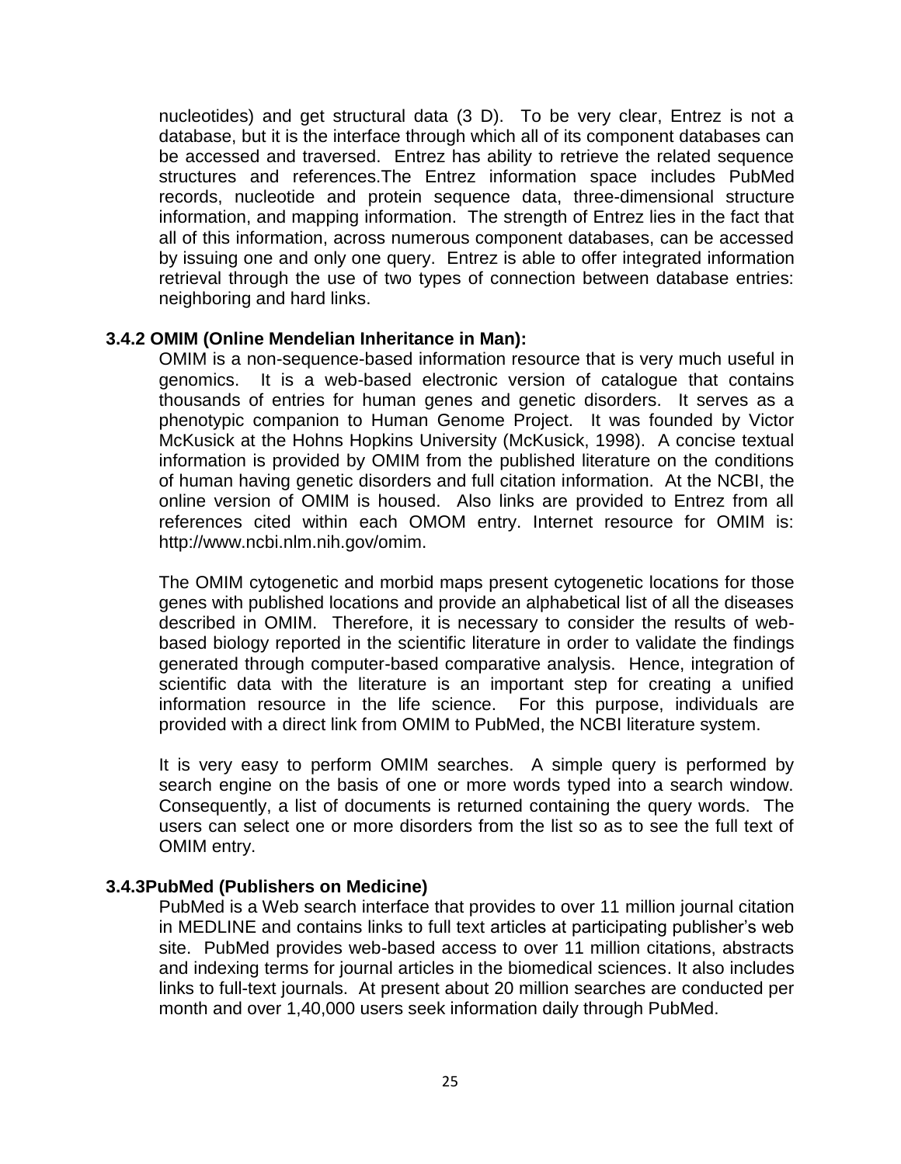nucleotides) and get structural data (3 D). To be very clear, Entrez is not a database, but it is the interface through which all of its component databases can be accessed and traversed. Entrez has ability to retrieve the related sequence structures and references.The Entrez information space includes PubMed records, nucleotide and protein sequence data, three-dimensional structure information, and mapping information. The strength of Entrez lies in the fact that all of this information, across numerous component databases, can be accessed by issuing one and only one query. Entrez is able to offer integrated information retrieval through the use of two types of connection between database entries: neighboring and hard links.

#### **3.4.2 OMIM (Online Mendelian Inheritance in Man):**

OMIM is a non-sequence-based information resource that is very much useful in genomics. It is a web-based electronic version of catalogue that contains thousands of entries for human genes and genetic disorders. It serves as a phenotypic companion to Human Genome Project. It was founded by Victor McKusick at the Hohns Hopkins University (McKusick, 1998). A concise textual information is provided by OMIM from the published literature on the conditions of human having genetic disorders and full citation information. At the NCBI, the online version of OMIM is housed. Also links are provided to Entrez from all references cited within each OMOM entry. Internet resource for OMIM is: http://www.ncbi.nlm.nih.gov/omim.

The OMIM cytogenetic and morbid maps present cytogenetic locations for those genes with published locations and provide an alphabetical list of all the diseases described in OMIM. Therefore, it is necessary to consider the results of webbased biology reported in the scientific literature in order to validate the findings generated through computer-based comparative analysis. Hence, integration of scientific data with the literature is an important step for creating a unified information resource in the life science. For this purpose, individuals are provided with a direct link from OMIM to PubMed, the NCBI literature system.

It is very easy to perform OMIM searches. A simple query is performed by search engine on the basis of one or more words typed into a search window. Consequently, a list of documents is returned containing the query words. The users can select one or more disorders from the list so as to see the full text of OMIM entry.

#### **3.4.3PubMed (Publishers on Medicine)**

PubMed is a Web search interface that provides to over 11 million journal citation in MEDLINE and contains links to full text articles at participating publisher"s web site. PubMed provides web-based access to over 11 million citations, abstracts and indexing terms for journal articles in the biomedical sciences. It also includes links to full-text journals. At present about 20 million searches are conducted per month and over 1,40,000 users seek information daily through PubMed.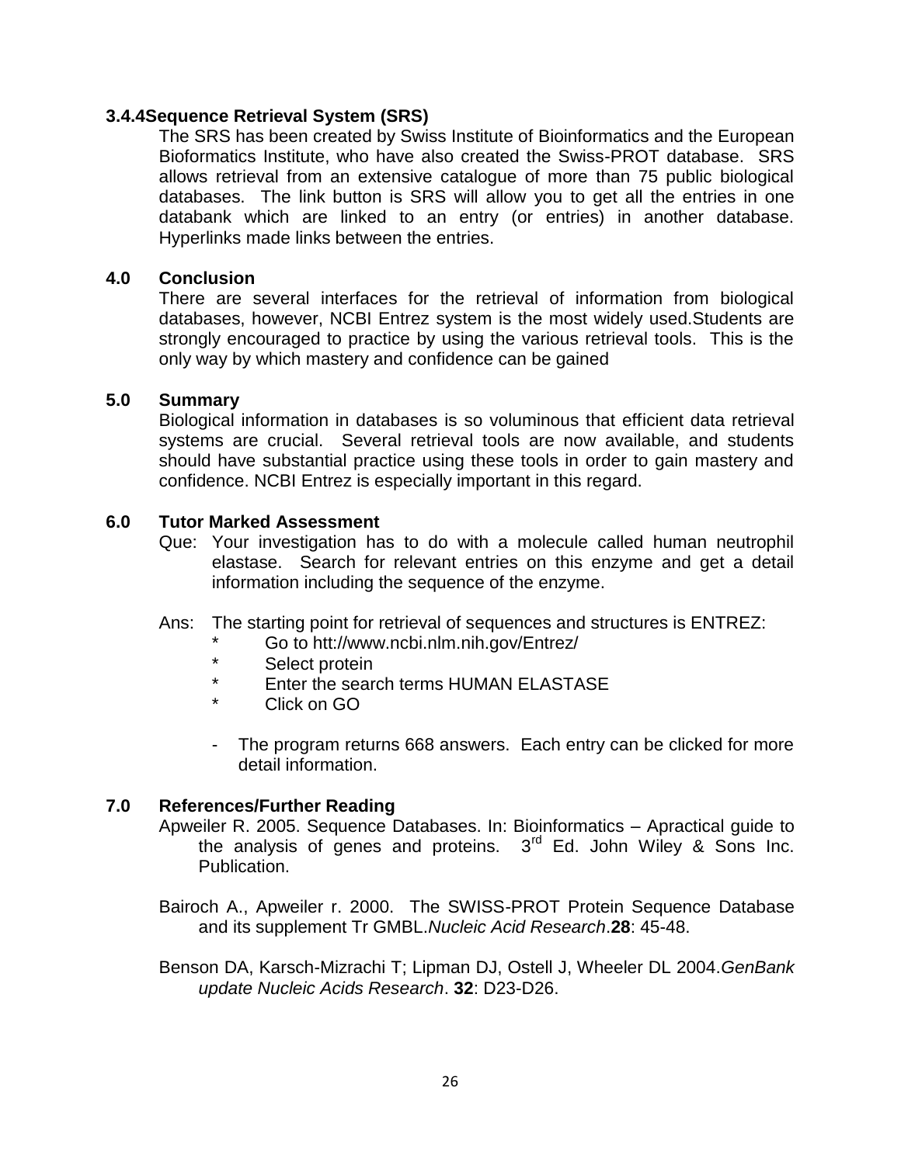#### **3.4.4Sequence Retrieval System (SRS)**

The SRS has been created by Swiss Institute of Bioinformatics and the European Bioformatics Institute, who have also created the Swiss-PROT database. SRS allows retrieval from an extensive catalogue of more than 75 public biological databases. The link button is SRS will allow you to get all the entries in one databank which are linked to an entry (or entries) in another database. Hyperlinks made links between the entries.

#### **4.0 Conclusion**

There are several interfaces for the retrieval of information from biological databases, however, NCBI Entrez system is the most widely used.Students are strongly encouraged to practice by using the various retrieval tools. This is the only way by which mastery and confidence can be gained

#### **5.0 Summary**

Biological information in databases is so voluminous that efficient data retrieval systems are crucial. Several retrieval tools are now available, and students should have substantial practice using these tools in order to gain mastery and confidence. NCBI Entrez is especially important in this regard.

#### **6.0 Tutor Marked Assessment**

- Que: Your investigation has to do with a molecule called human neutrophil elastase. Search for relevant entries on this enzyme and get a detail information including the sequence of the enzyme.
- Ans: The starting point for retrieval of sequences and structures is ENTREZ:
	- \* Go to htt://www.ncbi.nlm.nih.gov/Entrez/
	- \* Select protein
	- Enter the search terms HUMAN ELASTASE
	- $C$ lick on  $GO$
	- The program returns 668 answers. Each entry can be clicked for more detail information.

#### **7.0 References/Further Reading**

- Apweiler R. 2005. Sequence Databases. In: Bioinformatics Apractical guide to the analysis of genes and proteins.  $3<sup>rd</sup>$  Ed. John Wiley & Sons Inc. Publication.
- Bairoch A., Apweiler r. 2000. The SWISS-PROT Protein Sequence Database and its supplement Tr GMBL.*Nucleic Acid Research*.**28**: 45-48.
- Benson DA, Karsch-Mizrachi T; Lipman DJ, Ostell J, Wheeler DL 2004.*GenBank update Nucleic Acids Research*. **32**: D23-D26.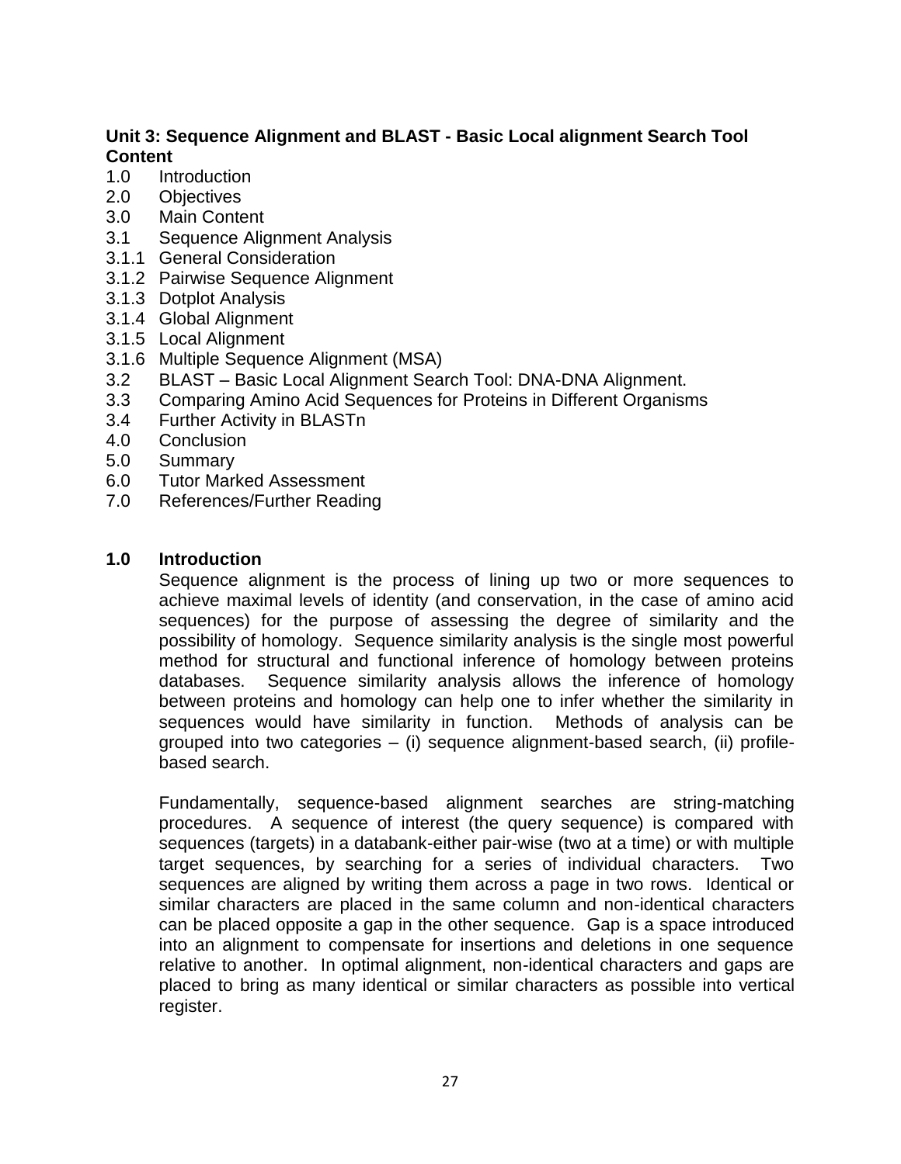# **Unit 3: Sequence Alignment and BLAST - Basic Local alignment Search Tool Content**

- 1.0 Introduction
- 2.0 Objectives
- 3.0 Main Content
- 3.1 Sequence Alignment Analysis
- 3.1.1 General Consideration
- 3.1.2 Pairwise Sequence Alignment
- 3.1.3 Dotplot Analysis
- 3.1.4 Global Alignment
- 3.1.5 Local Alignment
- 3.1.6 Multiple Sequence Alignment (MSA)
- 3.2 BLAST Basic Local Alignment Search Tool: DNA-DNA Alignment.
- 3.3 Comparing Amino Acid Sequences for Proteins in Different Organisms
- 3.4 Further Activity in BLASTn
- 4.0 Conclusion
- 5.0 Summary
- 6.0 Tutor Marked Assessment
- 7.0 References/Further Reading

### **1.0 Introduction**

Sequence alignment is the process of lining up two or more sequences to achieve maximal levels of identity (and conservation, in the case of amino acid sequences) for the purpose of assessing the degree of similarity and the possibility of homology. Sequence similarity analysis is the single most powerful method for structural and functional inference of homology between proteins databases. Sequence similarity analysis allows the inference of homology between proteins and homology can help one to infer whether the similarity in sequences would have similarity in function. Methods of analysis can be grouped into two categories – (i) sequence alignment-based search, (ii) profilebased search.

Fundamentally, sequence-based alignment searches are string-matching procedures. A sequence of interest (the query sequence) is compared with sequences (targets) in a databank-either pair-wise (two at a time) or with multiple target sequences, by searching for a series of individual characters. Two sequences are aligned by writing them across a page in two rows. Identical or similar characters are placed in the same column and non-identical characters can be placed opposite a gap in the other sequence. Gap is a space introduced into an alignment to compensate for insertions and deletions in one sequence relative to another. In optimal alignment, non-identical characters and gaps are placed to bring as many identical or similar characters as possible into vertical register.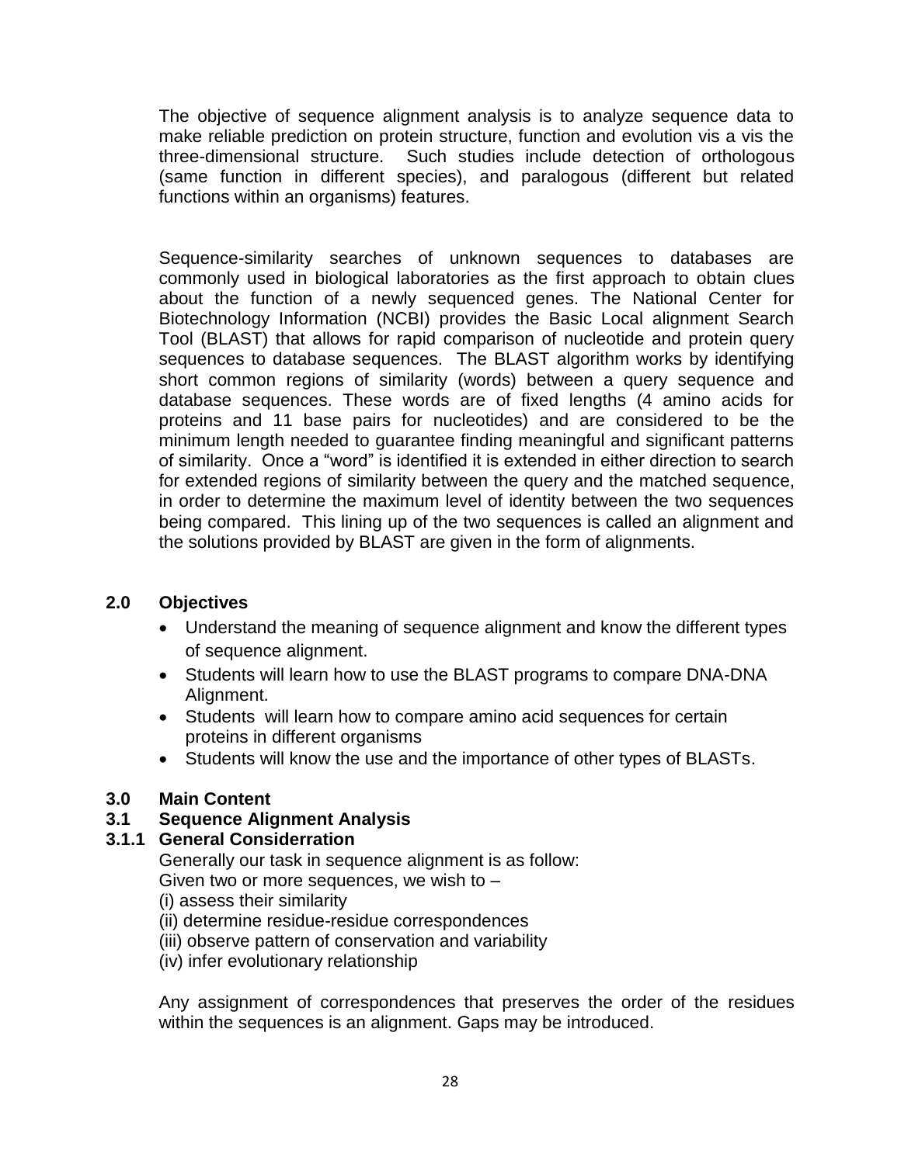The objective of sequence alignment analysis is to analyze sequence data to make reliable prediction on protein structure, function and evolution vis a vis the three-dimensional structure. Such studies include detection of orthologous (same function in different species), and paralogous (different but related functions within an organisms) features.

Sequence-similarity searches of unknown sequences to databases are commonly used in biological laboratories as the first approach to obtain clues about the function of a newly sequenced genes. The National Center for Biotechnology Information (NCBI) provides the Basic Local alignment Search Tool (BLAST) that allows for rapid comparison of nucleotide and protein query sequences to database sequences. The BLAST algorithm works by identifying short common regions of similarity (words) between a query sequence and database sequences. These words are of fixed lengths (4 amino acids for proteins and 11 base pairs for nucleotides) and are considered to be the minimum length needed to guarantee finding meaningful and significant patterns of similarity. Once a "word" is identified it is extended in either direction to search for extended regions of similarity between the query and the matched sequence, in order to determine the maximum level of identity between the two sequences being compared. This lining up of the two sequences is called an alignment and the solutions provided by BLAST are given in the form of alignments.

# **2.0 Objectives**

- Understand the meaning of sequence alignment and know the different types of sequence alignment.
- Students will learn how to use the BLAST programs to compare DNA-DNA Alignment.
- Students will learn how to compare amino acid sequences for certain proteins in different organisms
- Students will know the use and the importance of other types of BLASTs.

# **3.0 Main Content**

### **3.1 Sequence Alignment Analysis**

# **3.1.1 General Considerration**

Generally our task in sequence alignment is as follow:

Given two or more sequences, we wish to –

- (i) assess their similarity
- (ii) determine residue-residue correspondences
- (iii) observe pattern of conservation and variability
- (iv) infer evolutionary relationship

Any assignment of correspondences that preserves the order of the residues within the sequences is an alignment. Gaps may be introduced.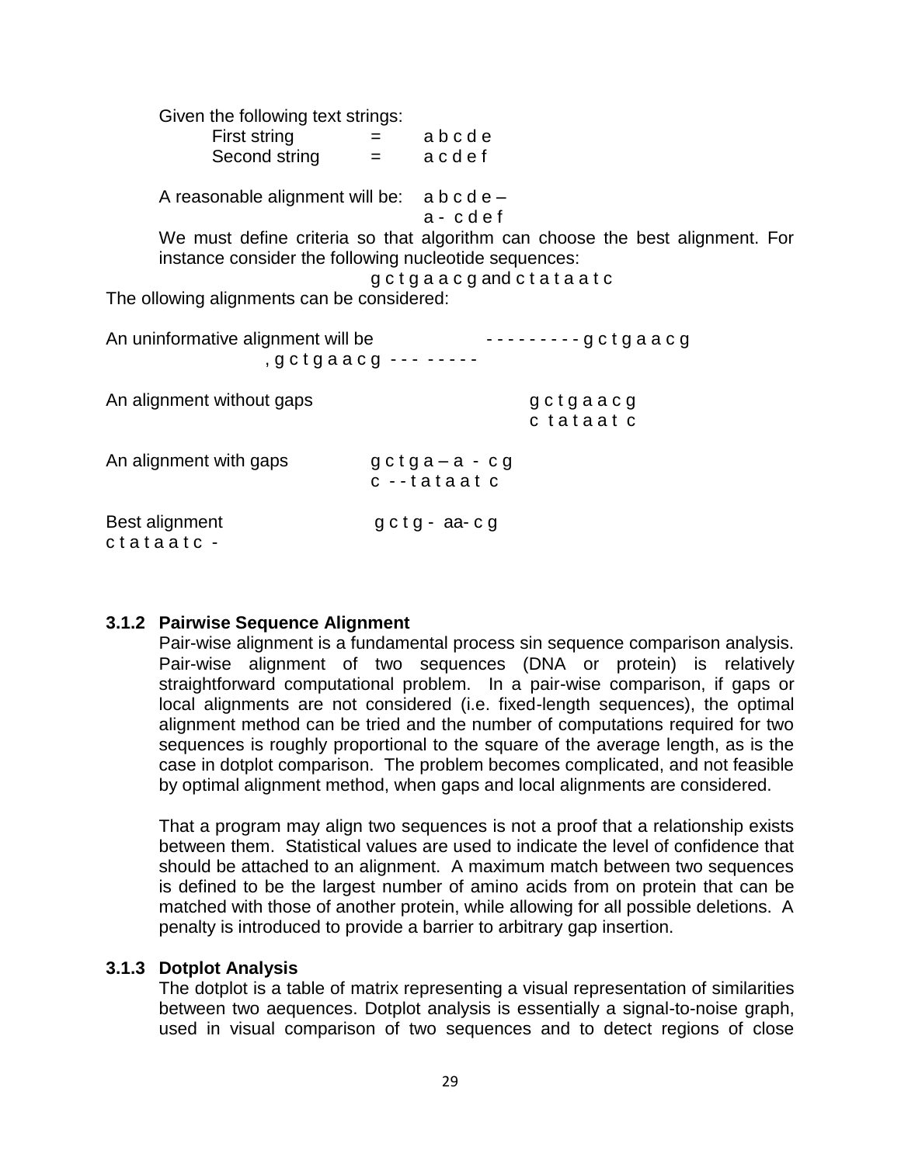| Given the following text strings:                          |                                                                                                     |
|------------------------------------------------------------|-----------------------------------------------------------------------------------------------------|
| First string                                               | $=$ abcde                                                                                           |
| Second string $=$ a c d e f                                |                                                                                                     |
| A reasonable alignment will be: $a b c d e$ –              | $a - c d e f$                                                                                       |
| instance consider the following nucleotide sequences:      | We must define criteria so that algorithm can choose the best alignment. For<br>gctgaacgandctataatc |
| The ollowing alignments can be considered:                 |                                                                                                     |
| An uninformative alignment will be<br>, gctgaacg --- ----- | ---------gctgaacg                                                                                   |
| An alignment without gaps                                  | gctgaacg<br>c tataat c                                                                              |
| An alignment with gaps                                     | $gctg a-a-cg$<br>c --tataat c                                                                       |
| Best alignment<br>ctataatc -                               | $gctg$ - $aa$ - $cg$                                                                                |

#### **3.1.2 Pairwise Sequence Alignment**

Pair-wise alignment is a fundamental process sin sequence comparison analysis. Pair-wise alignment of two sequences (DNA or protein) is relatively straightforward computational problem. In a pair-wise comparison, if gaps or local alignments are not considered (i.e. fixed-length sequences), the optimal alignment method can be tried and the number of computations required for two sequences is roughly proportional to the square of the average length, as is the case in dotplot comparison. The problem becomes complicated, and not feasible by optimal alignment method, when gaps and local alignments are considered.

That a program may align two sequences is not a proof that a relationship exists between them. Statistical values are used to indicate the level of confidence that should be attached to an alignment. A maximum match between two sequences is defined to be the largest number of amino acids from on protein that can be matched with those of another protein, while allowing for all possible deletions. A penalty is introduced to provide a barrier to arbitrary gap insertion.

#### **3.1.3 Dotplot Analysis**

The dotplot is a table of matrix representing a visual representation of similarities between two aequences. Dotplot analysis is essentially a signal-to-noise graph, used in visual comparison of two sequences and to detect regions of close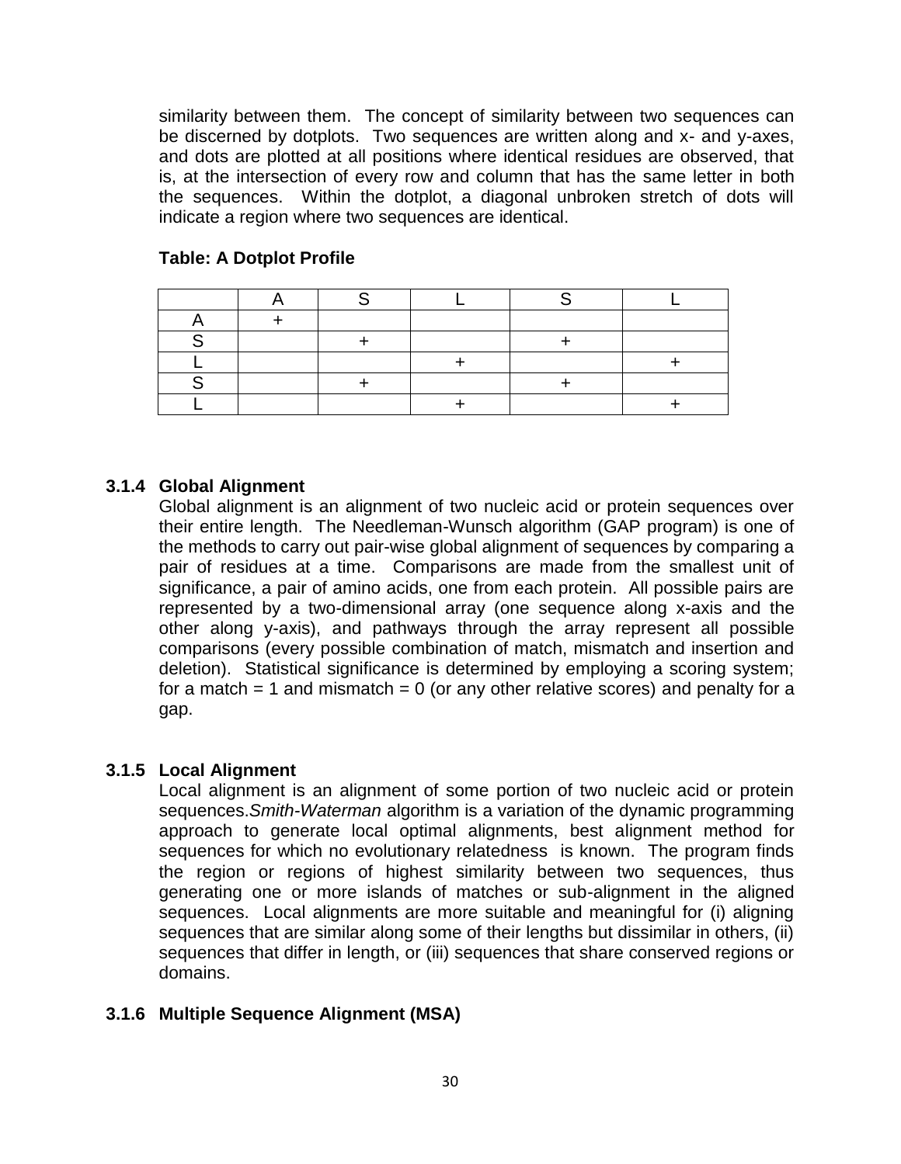similarity between them. The concept of similarity between two sequences can be discerned by dotplots. Two sequences are written along and x- and y-axes, and dots are plotted at all positions where identical residues are observed, that is, at the intersection of every row and column that has the same letter in both the sequences. Within the dotplot, a diagonal unbroken stretch of dots will indicate a region where two sequences are identical.

#### **Table: A Dotplot Profile**

### **3.1.4 Global Alignment**

Global alignment is an alignment of two nucleic acid or protein sequences over their entire length. The Needleman-Wunsch algorithm (GAP program) is one of the methods to carry out pair-wise global alignment of sequences by comparing a pair of residues at a time. Comparisons are made from the smallest unit of significance, a pair of amino acids, one from each protein. All possible pairs are represented by a two-dimensional array (one sequence along x-axis and the other along y-axis), and pathways through the array represent all possible comparisons (every possible combination of match, mismatch and insertion and deletion). Statistical significance is determined by employing a scoring system; for a match  $= 1$  and mismatch  $= 0$  (or any other relative scores) and penalty for a gap.

### **3.1.5 Local Alignment**

Local alignment is an alignment of some portion of two nucleic acid or protein sequences.*Smith-Waterman* algorithm is a variation of the dynamic programming approach to generate local optimal alignments, best alignment method for sequences for which no evolutionary relatedness is known. The program finds the region or regions of highest similarity between two sequences, thus generating one or more islands of matches or sub-alignment in the aligned sequences. Local alignments are more suitable and meaningful for (i) aligning sequences that are similar along some of their lengths but dissimilar in others, (ii) sequences that differ in length, or (iii) sequences that share conserved regions or domains.

### **3.1.6 Multiple Sequence Alignment (MSA)**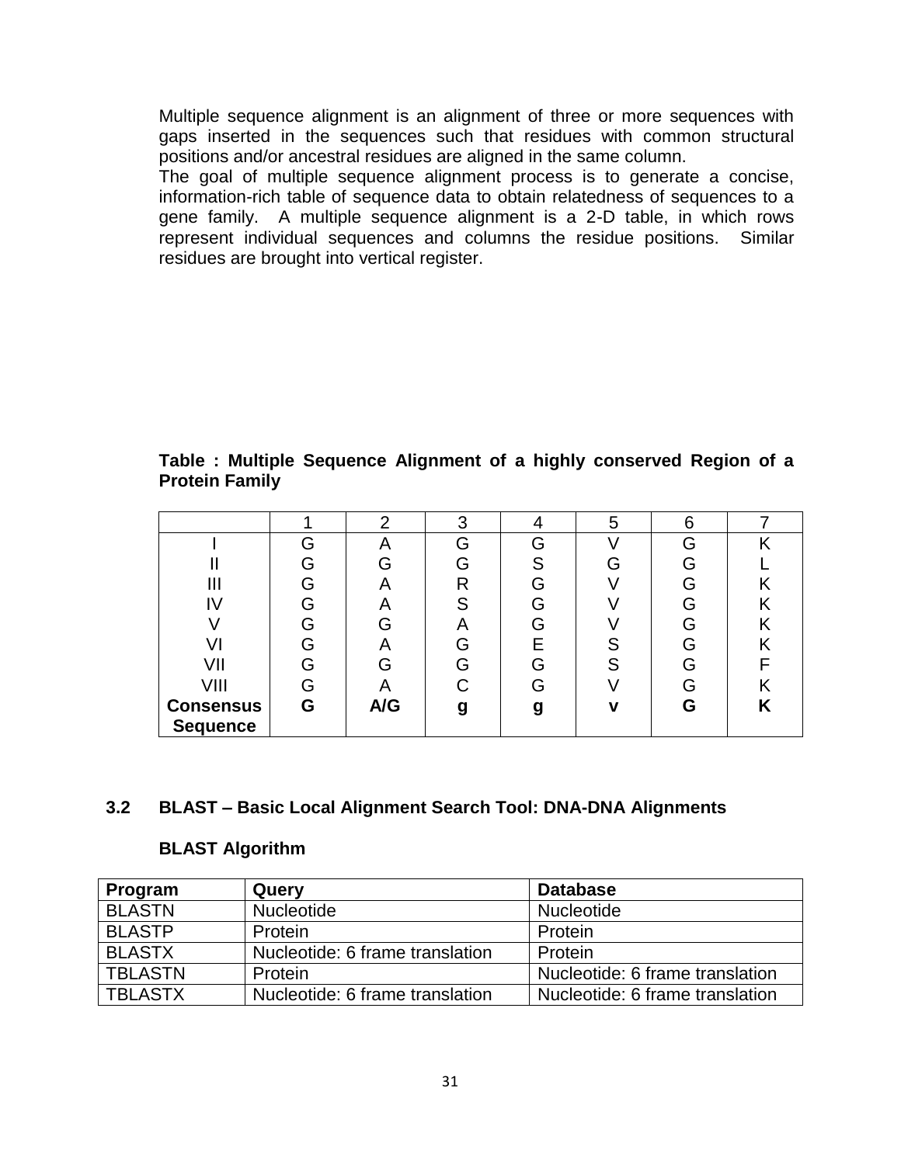Multiple sequence alignment is an alignment of three or more sequences with gaps inserted in the sequences such that residues with common structural positions and/or ancestral residues are aligned in the same column.

The goal of multiple sequence alignment process is to generate a concise, information-rich table of sequence data to obtain relatedness of sequences to a gene family. A multiple sequence alignment is a 2-D table, in which rows represent individual sequences and columns the residue positions. Similar residues are brought into vertical register.

**Table : Multiple Sequence Alignment of a highly conserved Region of a Protein Family**

|                  |   | റ           | 3 |   | 5 | 6  |   |
|------------------|---|-------------|---|---|---|----|---|
|                  | G | 宀           | G | G |   | G  |   |
|                  | G |             |   | S |   | G  |   |
| Ш                |   |             | R | G |   | G  |   |
| I٧               |   | $\bigwedge$ |   | G |   | G  |   |
|                  | G | G           |   | G |   | G  |   |
|                  |   | 宀           |   | E | ⌒ | ٠ı |   |
| VII              |   | G           |   | G | ົ | G  |   |
| VIII             | G |             |   | G |   | G  |   |
| <b>Consensus</b> | G | A/G         |   | g |   | G  | n |
| <b>Sequence</b>  |   |             |   |   |   |    |   |

### **3.2 BLAST – Basic Local Alignment Search Tool: DNA-DNA Alignments**

### **BLAST Algorithm**

| Program        | Query                           | <b>Database</b>                 |
|----------------|---------------------------------|---------------------------------|
| <b>BLASTN</b>  | <b>Nucleotide</b>               | Nucleotide                      |
| <b>BLASTP</b>  | Protein                         | Protein                         |
| <b>BLASTX</b>  | Nucleotide: 6 frame translation | Protein                         |
| <b>TBLASTN</b> | Protein                         | Nucleotide: 6 frame translation |
| <b>TBLASTX</b> | Nucleotide: 6 frame translation | Nucleotide: 6 frame translation |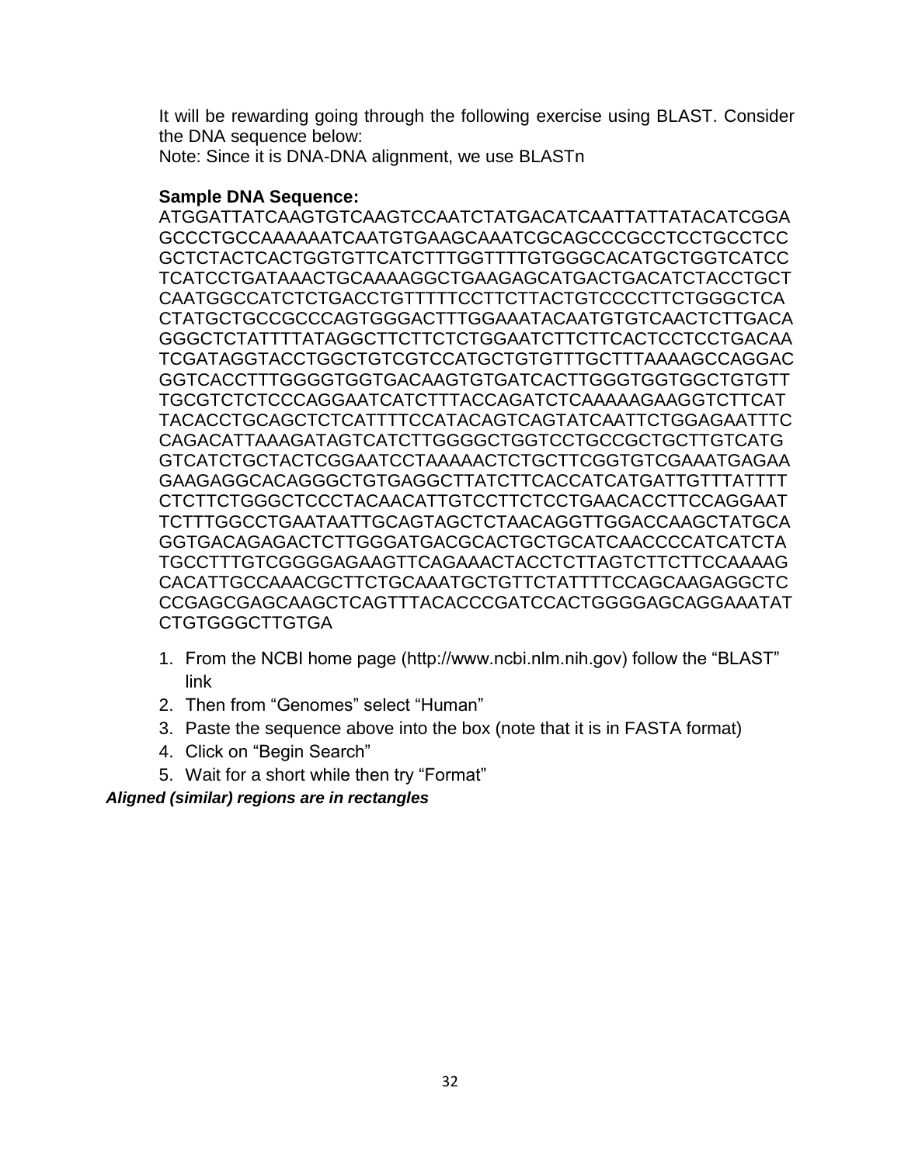It will be rewarding going through the following exercise using BLAST. Consider the DNA sequence below:

Note: Since it is DNA-DNA alignment, we use BLASTn

# **Sample DNA Sequence:**

ATGGATTATCAAGTGTCAAGTCCAATCTATGACATCAATTATTATACATCGGA GCCCTGCCAAAAAATCAATGTGAAGCAAATCGCAGCCCGCCTCCTGCCTCC GCTCTACTCACTGGTGTTCATCTTTGGTTTTGTGGGCACATGCTGGTCATCC TCATCCTGATAAACTGCAAAAGGCTGAAGAGCATGACTGACATCTACCTGCT CAATGGCCATCTCTGACCTGTTTTTCCTTCTTACTGTCCCCTTCTGGGCTCA CTATGCTGCCGCCCAGTGGGACTTTGGAAATACAATGTGTCAACTCTTGACA GGGCTCTATTTTATAGGCTTCTTCTCTGGAATCTTCTTCACTCCTCCTGACAA TCGATAGGTACCTGGCTGTCGTCCATGCTGTGTTTGCTTTAAAAGCCAGGAC GGTCACCTTTGGGGTGGTGACAAGTGTGATCACTTGGGTGGTGGCTGTGTT TGCGTCTCTCCCAGGAATCATCTTTACCAGATCTCAAAAAGAAGGTCTTCAT TACACCTGCAGCTCTCATTTTCCATACAGTCAGTATCAATTCTGGAGAATTTC CAGACATTAAAGATAGTCATCTTGGGGCTGGTCCTGCCGCTGCTTGTCATG GTCATCTGCTACTCGGAATCCTAAAAACTCTGCTTCGGTGTCGAAATGAGAA GAAGAGGCACAGGGCTGTGAGGCTTATCTTCACCATCATGATTGTTTATTTT CTCTTCTGGGCTCCCTACAACATTGTCCTTCTCCTGAACACCTTCCAGGAAT TCTTTGGCCTGAATAATTGCAGTAGCTCTAACAGGTTGGACCAAGCTATGCA GGTGACAGAGACTCTTGGGATGACGCACTGCTGCATCAACCCCATCATCTA TGCCTTTGTCGGGGAGAAGTTCAGAAACTACCTCTTAGTCTTCTTCCAAAAG CACATTGCCAAACGCTTCTGCAAATGCTGTTCTATTTTCCAGCAAGAGGCTC CCGAGCGAGCAAGCTCAGTTTACACCCGATCCACTGGGGAGCAGGAAATAT CTGTGGGCTTGTGA

- 1. From the NCBI home page (http://www.ncbi.nlm.nih.gov) follow the "BLAST" link
- 2. Then from "Genomes" select "Human"
- 3. Paste the sequence above into the box (note that it is in FASTA format)
- 4. Click on "Begin Search"
- 5. Wait for a short while then try "Format"

*Aligned (similar) regions are in rectangles*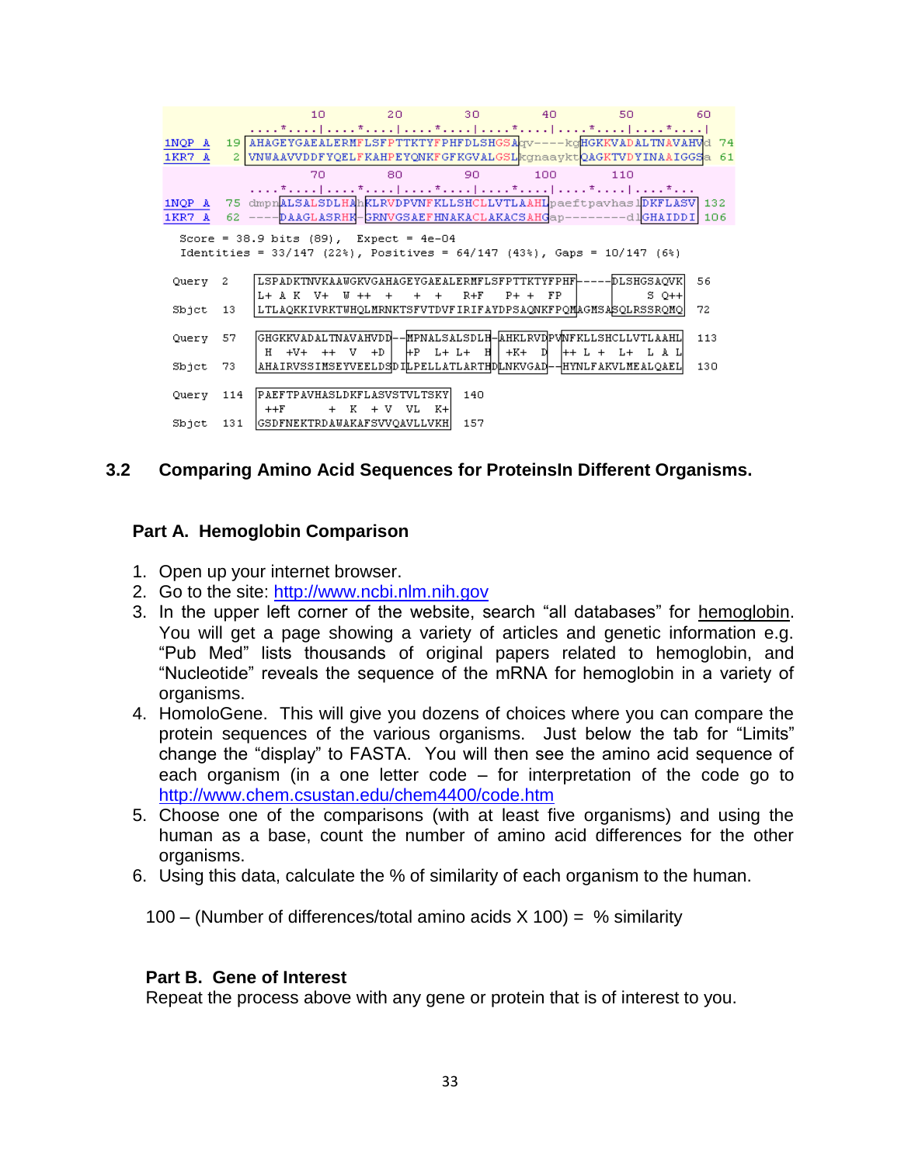|                  |     | 10                                                                                                                                                                                                             | $20 -$           | -30.                      | 40      | 50     | 60  |
|------------------|-----|----------------------------------------------------------------------------------------------------------------------------------------------------------------------------------------------------------------|------------------|---------------------------|---------|--------|-----|
| 1NQP A<br>1KR7 A |     | 19 AHAGEYGAEALERMFLSFPTTKTYFPHFDLSHGSAgv----- kqHGKKVADALTNAVAHVd 74<br>2   VNWAAVVDDFYQELFKAHPEYQNKFGFKGVALGSL kgnaaykt QAGKTVDYINAAIGGS a 61                                                                 |                  |                           |         |        |     |
|                  |     | 70                                                                                                                                                                                                             | 80.              | 90                        | 100     | 110    |     |
| 1NQP A<br>1KR7 A |     | ファックディック おおという ディア・コード エンジンディスプレート おおとび ディアンスト おおとい ディスプレー しゅうしゅうしょく<br>75 dmpnALSALSDLHAhKLRVDPVNFKLLSHCLLVTLAAHLpaeftpavhaslDKFLASV 132<br>62 ----DAAGLASRHK-GRNVGSAEFHNAKACLAKACSAHGap--------dlGHAIDDI 106 |                  |                           |         |        |     |
|                  |     | Score = 38.9 bits $(89)$ , Expect = 4e-04<br>Identities = $33/147$ (22%), Positives = $64/147$ (43%), Gaps = $10/147$ (6%)                                                                                     |                  |                           |         |        |     |
| Query            | 2   | LSPADKTNVKAAWGKVGAHAGEYGAEALERMFLSFPTTKTYFPHF ---- DLSHGSAQVK <br>L+ A K V+                                                                                                                                    | $W + + +$<br>$+$ | $R + F$<br>$\overline{+}$ | $P++FP$ | S 0++1 | 56  |
| Sbjet            | 13  | LTLAQKKIVRKTWHQLMRNKTSFVTDVFIRIFAYDPSAQNKFPQMAGMSASQLRSSRQMQ                                                                                                                                                   |                  |                           |         |        | 72  |
| Query            | 57. | GHGKKVADALTNAVAHVDD--MPNALSALSDLH-AHKLRVDPVMFKLLSHCLLVTLAAHL                                                                                                                                                   |                  |                           |         |        | 113 |
| Sbict 73         |     | AHAIRVSSIMSEYVEELDSDILPELLATLARTHDLNKVGAD -- HYNLFAKVLMEALQAEL                                                                                                                                                 |                  |                           |         |        | 130 |
| Querv            | 114 | [PAEFTPAVHASLDKFLASVSTVLTSKY]<br>$+$ K<br>$++F$                                                                                                                                                                | $+V$<br>VL K+l   | 140                       |         |        |     |
| $S$ bjet $131$   |     | GSDFNEKTRDAWAKAFSVVQAVLLVKH                                                                                                                                                                                    |                  | 157                       |         |        |     |

# **3.2 Comparing Amino Acid Sequences for ProteinsIn Different Organisms.**

### **Part A. Hemoglobin Comparison**

- 1. Open up your internet browser.
- 2. Go to the site: [http://www.ncbi.nlm.nih.gov](http://www.ncbi.nlm.nih.gov/)
- 3. In the upper left corner of the website, search "all databases" for hemoglobin. You will get a page showing a variety of articles and genetic information e.g. "Pub Med" lists thousands of original papers related to hemoglobin, and "Nucleotide" reveals the sequence of the mRNA for hemoglobin in a variety of organisms.
- 4. HomoloGene. This will give you dozens of choices where you can compare the protein sequences of the various organisms. Just below the tab for "Limits" change the "display" to FASTA. You will then see the amino acid sequence of each organism (in a one letter code – for interpretation of the code go to <http://www.chem.csustan.edu/chem4400/code.htm>
- 5. Choose one of the comparisons (with at least five organisms) and using the human as a base, count the number of amino acid differences for the other organisms.
- 6. Using this data, calculate the % of similarity of each organism to the human.

100 – (Number of differences/total amino acids  $X$  100) = % similarity

#### **Part B. Gene of Interest**

Repeat the process above with any gene or protein that is of interest to you.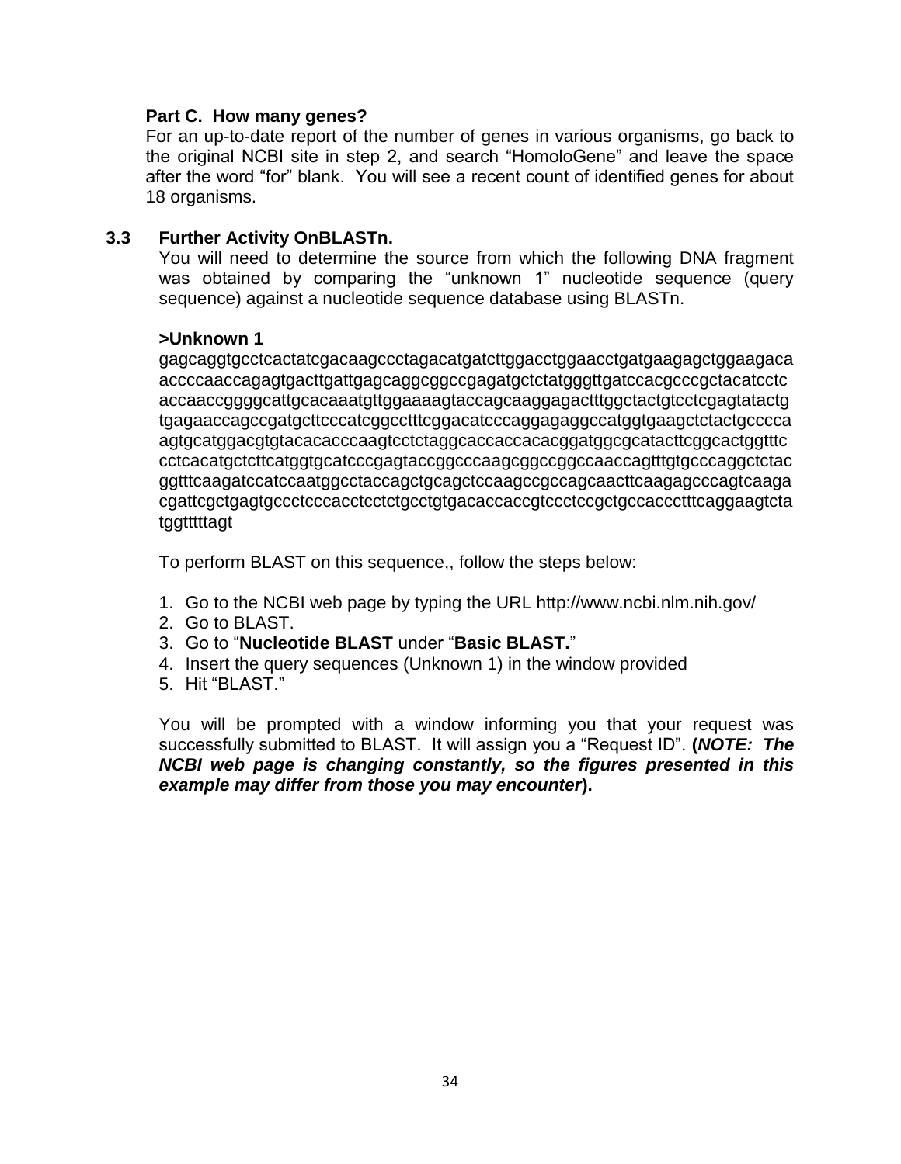### **Part C. How many genes?**

For an up-to-date report of the number of genes in various organisms, go back to the original NCBI site in step 2, and search "HomoloGene" and leave the space after the word "for" blank. You will see a recent count of identified genes for about 18 organisms.

#### **3.3 Further Activity OnBLASTn.**

You will need to determine the source from which the following DNA fragment was obtained by comparing the "unknown 1" nucleotide sequence (query sequence) against a nucleotide sequence database using BLASTn.

#### **>Unknown 1**

gagcaggtgcctcactatcgacaagccctagacatgatcttggacctggaacctgatgaagagctggaagaca accccaaccagagtgacttgattgagcaggcggccgagatgctctatgggttgatccacgcccgctacatcctc accaaccggggcattgcacaaatgttggaaaagtaccagcaaggagactttggctactgtcctcgagtatactg tgagaaccagccgatgcttcccatcggcctttcggacatcccaggagaggccatggtgaagctctactgcccca agtgcatggacgtgtacacacccaagtcctctaggcaccaccacacggatggcgcatacttcggcactggtttc cctcacatgctcttcatggtgcatcccgagtaccggcccaagcggccggccaaccagtttgtgcccaggctctac ggtttcaagatccatccaatggcctaccagctgcagctccaagccgccagcaacttcaagagcccagtcaaga cgattcgctgagtgccctcccacctcctctgcctgtgacaccaccgtccctccgctgccaccctttcaggaagtcta tggtttttagt

To perform BLAST on this sequence,, follow the steps below:

- 1. Go to the NCBI web page by typing the URL http://www.ncbi.nlm.nih.gov/
- 2. Go to BLAST.
- 3. Go to "**Nucleotide BLAST** under "**Basic BLAST.**"
- 4. Insert the query sequences (Unknown 1) in the window provided
- 5. Hit "BLAST."

You will be prompted with a window informing you that your request was successfully submitted to BLAST. It will assign you a "Request ID". **(***NOTE: The NCBI web page is changing constantly, so the figures presented in this example may differ from those you may encounter***).**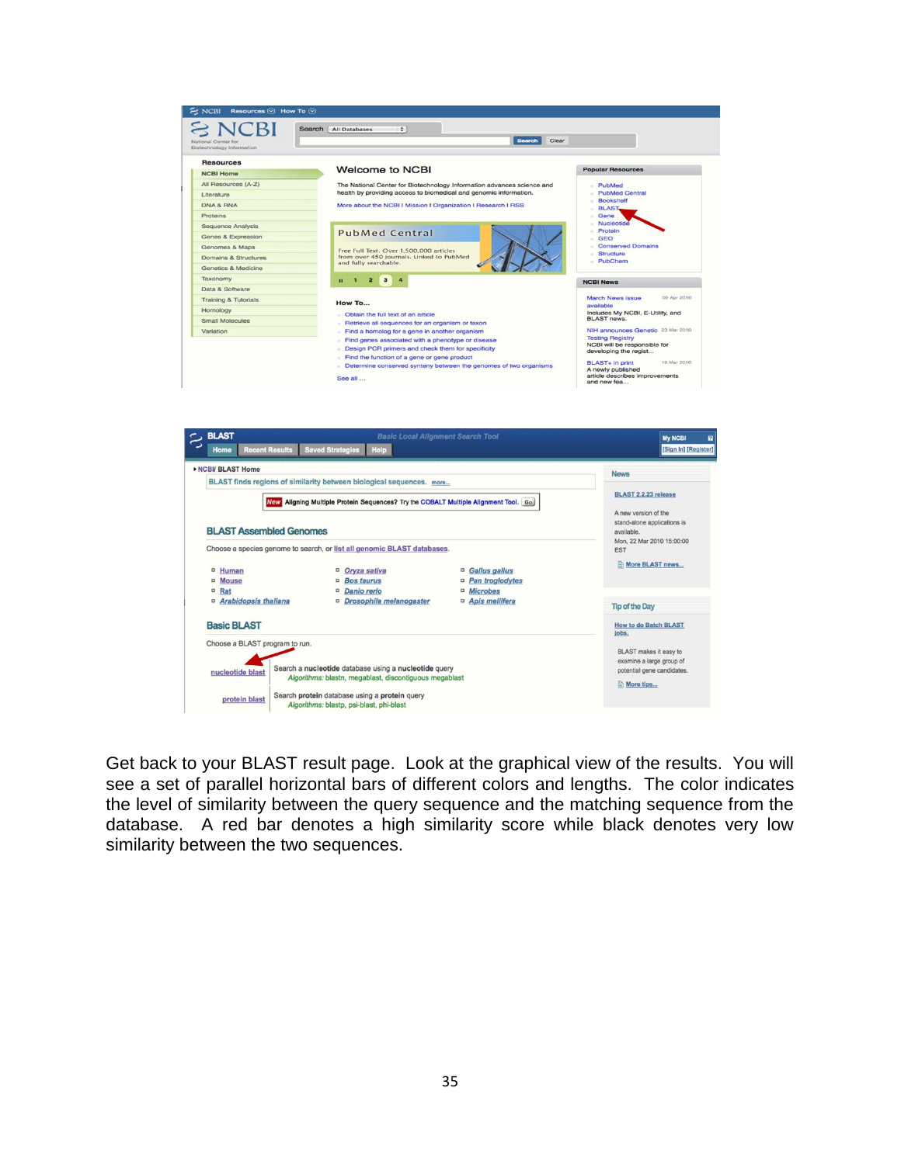

Get back to your BLAST result page. Look at the graphical view of the results. You will see a set of parallel horizontal bars of different colors and lengths. The color indicates the level of similarity between the query sequence and the matching sequence from the database. A red bar denotes a high similarity score while black denotes very low similarity between the two sequences.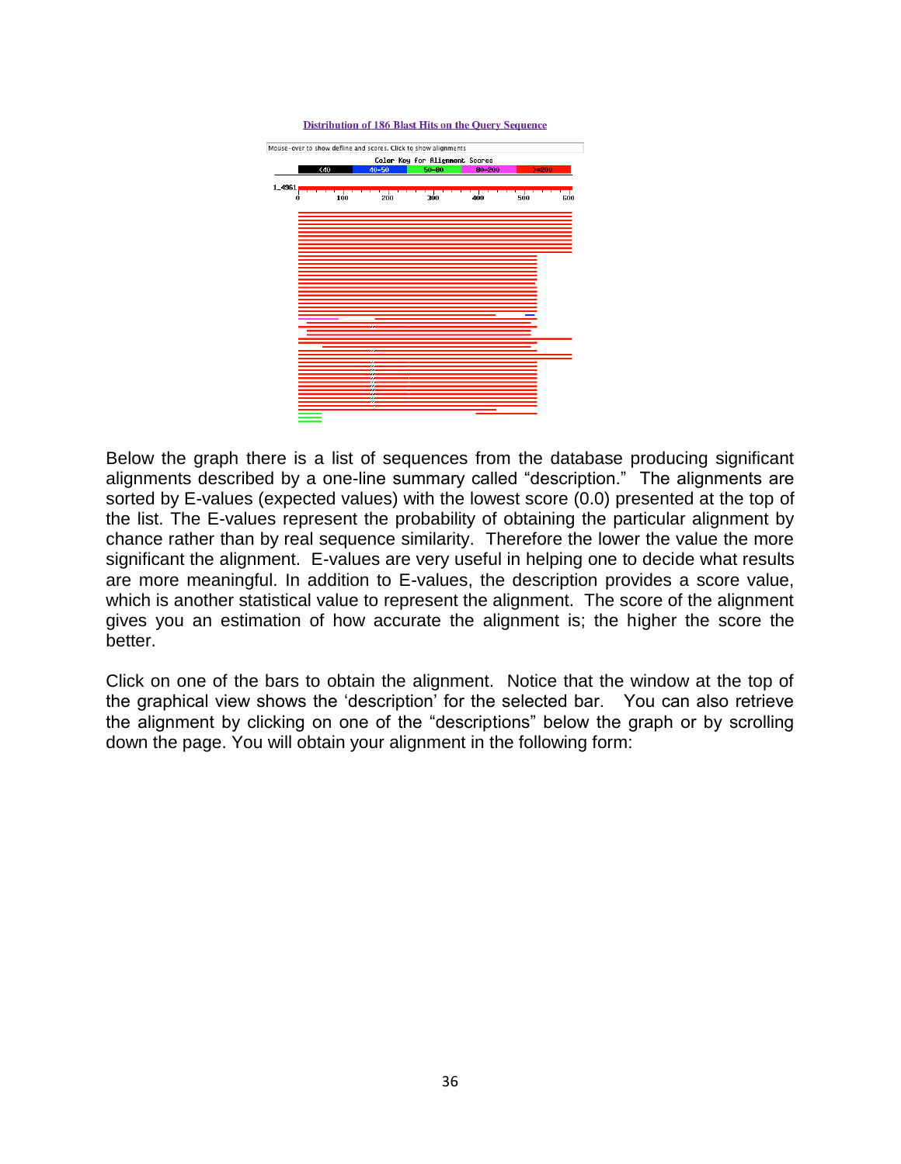

Below the graph there is a list of sequences from the database producing significant alignments described by a one-line summary called "description." The alignments are sorted by E-values (expected values) with the lowest score (0.0) presented at the top of the list. The E-values represent the probability of obtaining the particular alignment by chance rather than by real sequence similarity. Therefore the lower the value the more significant the alignment. E-values are very useful in helping one to decide what results are more meaningful. In addition to E-values, the description provides a score value, which is another statistical value to represent the alignment. The score of the alignment gives you an estimation of how accurate the alignment is; the higher the score the better.

Click on one of the bars to obtain the alignment. Notice that the window at the top of the graphical view shows the "description" for the selected bar. You can also retrieve the alignment by clicking on one of the "descriptions" below the graph or by scrolling down the page. You will obtain your alignment in the following form: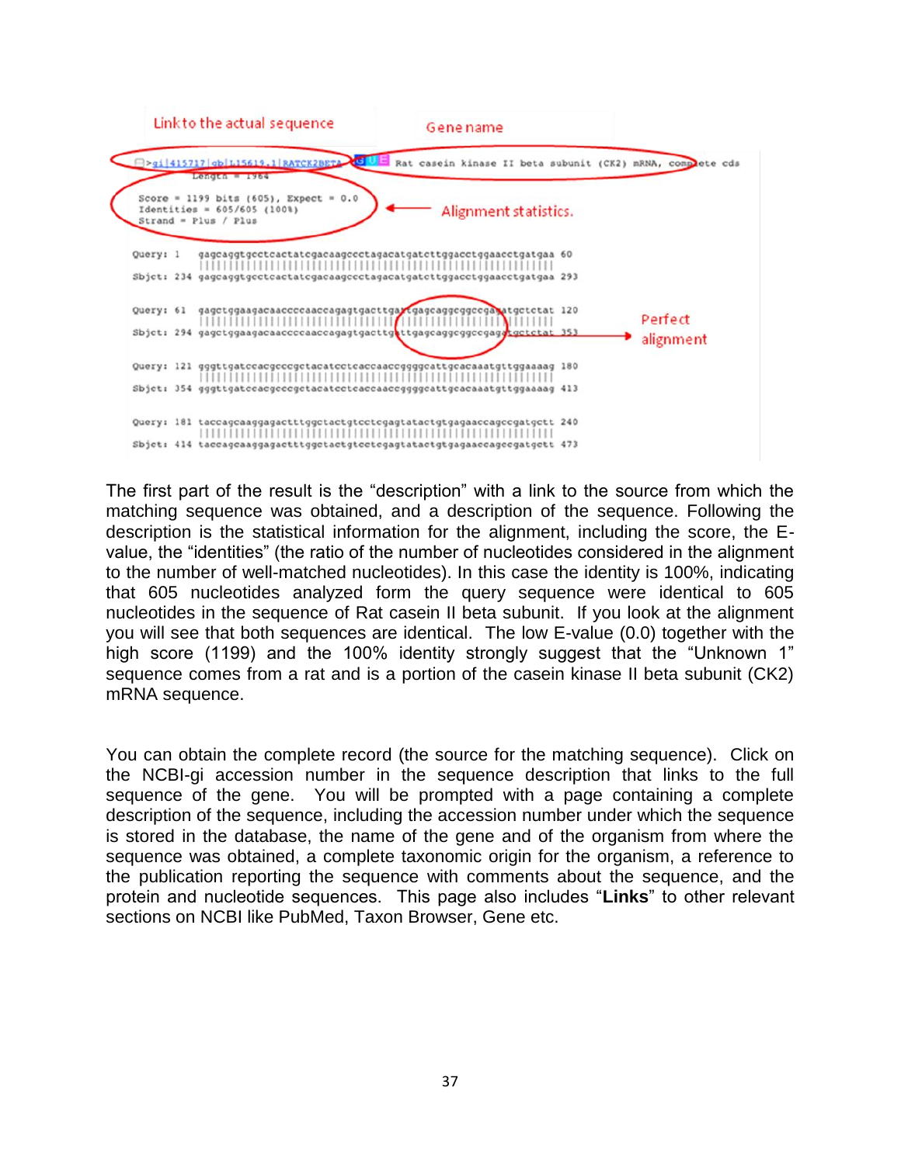

The first part of the result is the "description" with a link to the source from which the matching sequence was obtained, and a description of the sequence. Following the description is the statistical information for the alignment, including the score, the Evalue, the "identities" (the ratio of the number of nucleotides considered in the alignment to the number of well-matched nucleotides). In this case the identity is 100%, indicating that 605 nucleotides analyzed form the query sequence were identical to 605 nucleotides in the sequence of Rat casein II beta subunit. If you look at the alignment you will see that both sequences are identical. The low E-value (0.0) together with the high score (1199) and the 100% identity strongly suggest that the "Unknown 1" sequence comes from a rat and is a portion of the casein kinase II beta subunit (CK2) mRNA sequence.

You can obtain the complete record (the source for the matching sequence). Click on the NCBI-gi accession number in the sequence description that links to the full sequence of the gene. You will be prompted with a page containing a complete description of the sequence, including the accession number under which the sequence is stored in the database, the name of the gene and of the organism from where the sequence was obtained, a complete taxonomic origin for the organism, a reference to the publication reporting the sequence with comments about the sequence, and the protein and nucleotide sequences. This page also includes "**Links**" to other relevant sections on NCBI like PubMed, Taxon Browser, Gene etc.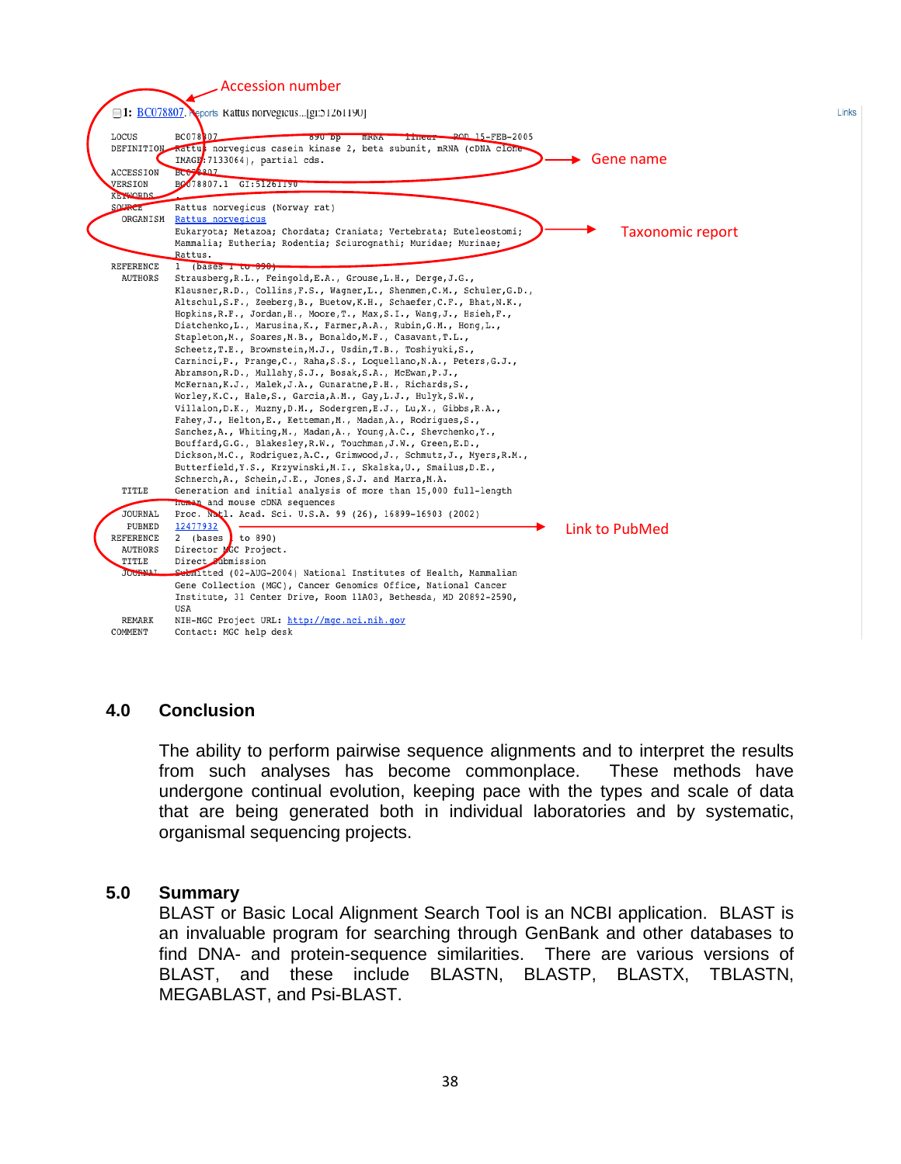

#### **4.0 Conclusion**

The ability to perform pairwise sequence alignments and to interpret the results from such analyses has become commonplace. These methods have undergone continual evolution, keeping pace with the types and scale of data that are being generated both in individual laboratories and by systematic, organismal sequencing projects.

#### **5.0 Summary**

BLAST or Basic Local Alignment Search Tool is an NCBI application. BLAST is an invaluable program for searching through GenBank and other databases to find DNA- and protein-sequence similarities. There are various versions of BLAST, and these include BLASTN, BLASTP, BLASTX, TBLASTN, MEGABLAST, and Psi-BLAST.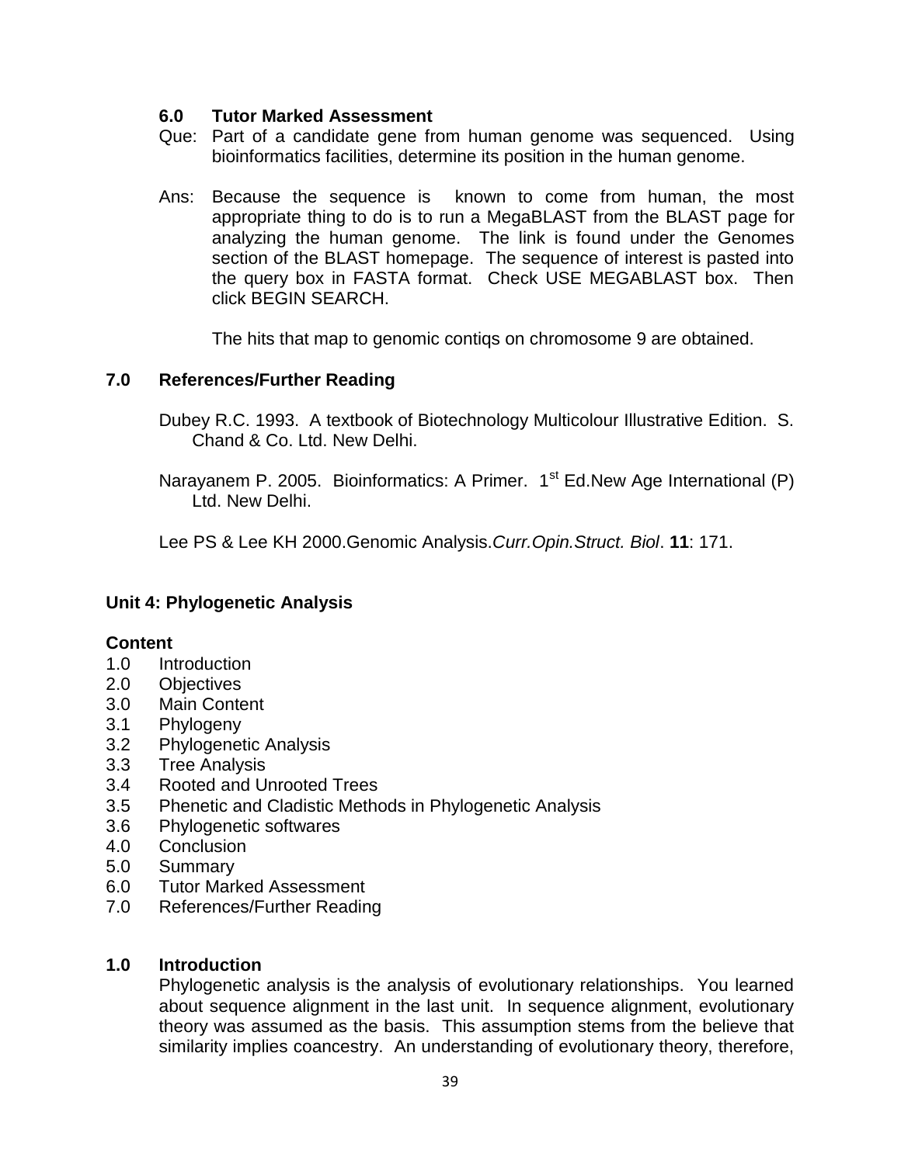### **6.0 Tutor Marked Assessment**

- Que: Part of a candidate gene from human genome was sequenced. Using bioinformatics facilities, determine its position in the human genome.
- Ans: Because the sequence is known to come from human, the most appropriate thing to do is to run a MegaBLAST from the BLAST page for analyzing the human genome. The link is found under the Genomes section of the BLAST homepage. The sequence of interest is pasted into the query box in FASTA format. Check USE MEGABLAST box. Then click BEGIN SEARCH.

The hits that map to genomic contiqs on chromosome 9 are obtained.

# **7.0 References/Further Reading**

Dubey R.C. 1993. A textbook of Biotechnology Multicolour Illustrative Edition. S. Chand & Co. Ltd. New Delhi.

Narayanem P. 2005. Bioinformatics: A Primer. 1<sup>st</sup> Ed.New Age International (P) Ltd. New Delhi.

Lee PS & Lee KH 2000.Genomic Analysis.*Curr.Opin.Struct. Biol*. **11**: 171.

# **Unit 4: Phylogenetic Analysis**

### **Content**

- 1.0 Introduction
- 2.0 Objectives
- 3.0 Main Content
- 3.1 Phylogeny
- 3.2 Phylogenetic Analysis
- 3.3 Tree Analysis
- 3.4 Rooted and Unrooted Trees
- 3.5 Phenetic and Cladistic Methods in Phylogenetic Analysis
- 3.6 Phylogenetic softwares
- 4.0 Conclusion
- 5.0 Summary
- 6.0 Tutor Marked Assessment
- 7.0 References/Further Reading

### **1.0 Introduction**

Phylogenetic analysis is the analysis of evolutionary relationships. You learned about sequence alignment in the last unit. In sequence alignment, evolutionary theory was assumed as the basis. This assumption stems from the believe that similarity implies coancestry. An understanding of evolutionary theory, therefore,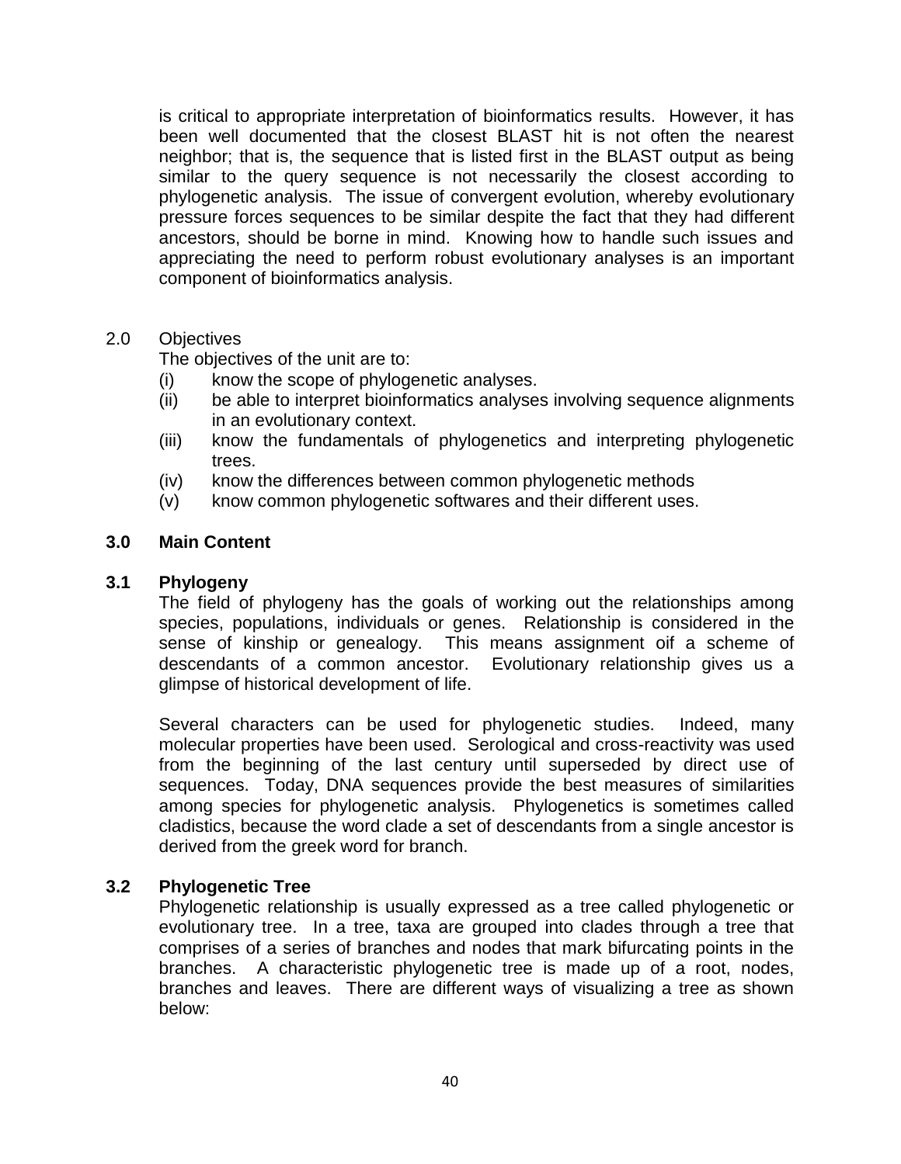is critical to appropriate interpretation of bioinformatics results. However, it has been well documented that the closest BLAST hit is not often the nearest neighbor; that is, the sequence that is listed first in the BLAST output as being similar to the query sequence is not necessarily the closest according to phylogenetic analysis. The issue of convergent evolution, whereby evolutionary pressure forces sequences to be similar despite the fact that they had different ancestors, should be borne in mind. Knowing how to handle such issues and appreciating the need to perform robust evolutionary analyses is an important component of bioinformatics analysis.

# 2.0 Objectives

The objectives of the unit are to:

- (i) know the scope of phylogenetic analyses.
- (ii) be able to interpret bioinformatics analyses involving sequence alignments in an evolutionary context.
- (iii) know the fundamentals of phylogenetics and interpreting phylogenetic trees.
- (iv) know the differences between common phylogenetic methods
- (v) know common phylogenetic softwares and their different uses.

# **3.0 Main Content**

### **3.1 Phylogeny**

The field of phylogeny has the goals of working out the relationships among species, populations, individuals or genes. Relationship is considered in the sense of kinship or genealogy. This means assignment oif a scheme of descendants of a common ancestor. Evolutionary relationship gives us a glimpse of historical development of life.

Several characters can be used for phylogenetic studies. Indeed, many molecular properties have been used. Serological and cross-reactivity was used from the beginning of the last century until superseded by direct use of sequences. Today, DNA sequences provide the best measures of similarities among species for phylogenetic analysis. Phylogenetics is sometimes called cladistics, because the word clade a set of descendants from a single ancestor is derived from the greek word for branch.

### **3.2 Phylogenetic Tree**

Phylogenetic relationship is usually expressed as a tree called phylogenetic or evolutionary tree. In a tree, taxa are grouped into clades through a tree that comprises of a series of branches and nodes that mark bifurcating points in the branches. A characteristic phylogenetic tree is made up of a root, nodes, branches and leaves. There are different ways of visualizing a tree as shown below: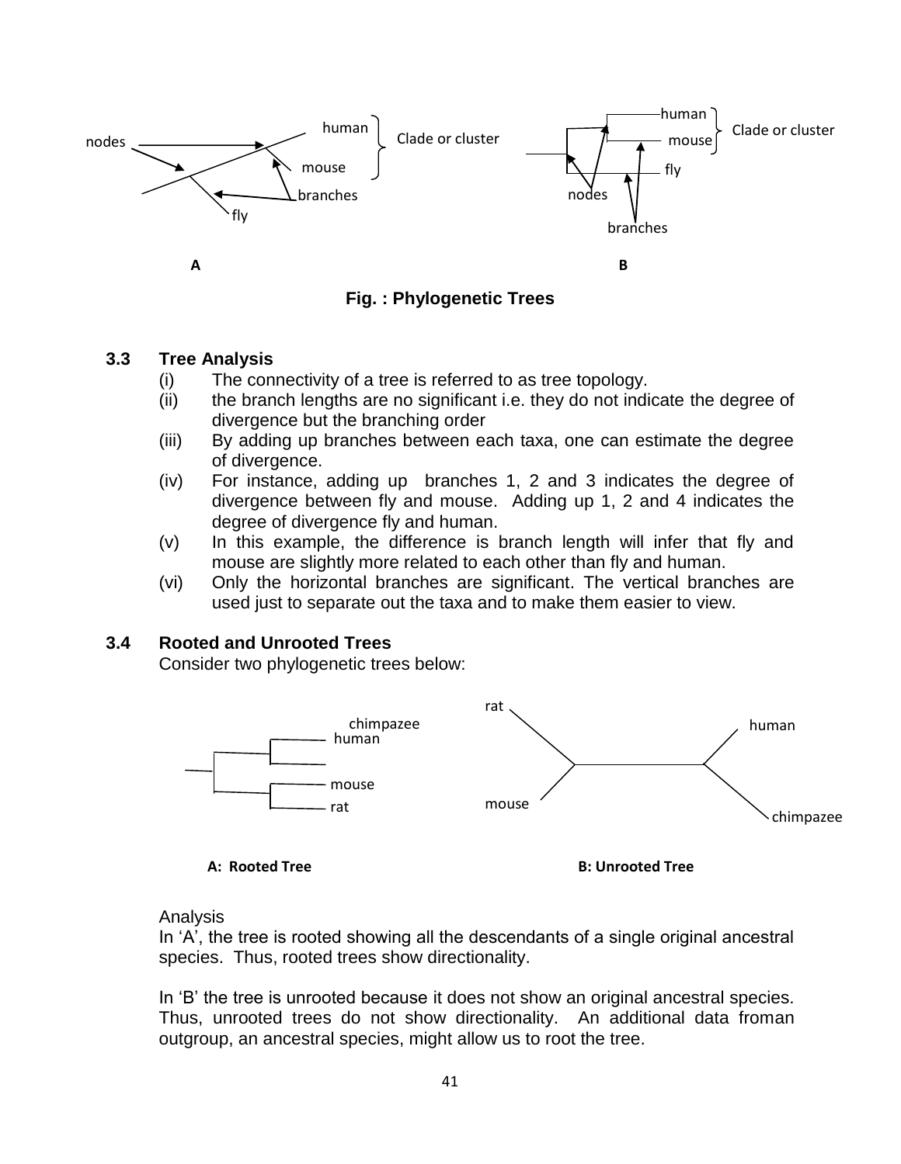

**Fig. : Phylogenetic Trees**

### **3.3 Tree Analysis**

- (i) The connectivity of a tree is referred to as tree topology.
- (ii) the branch lengths are no significant i.e. they do not indicate the degree of divergence but the branching order
- (iii) By adding up branches between each taxa, one can estimate the degree of divergence.
- (iv) For instance, adding up branches 1, 2 and 3 indicates the degree of divergence between fly and mouse. Adding up 1, 2 and 4 indicates the degree of divergence fly and human.
- (v) In this example, the difference is branch length will infer that fly and mouse are slightly more related to each other than fly and human.
- (vi) Only the horizontal branches are significant. The vertical branches are used just to separate out the taxa and to make them easier to view.

# **3.4 Rooted and Unrooted Trees**

Consider two phylogenetic trees below:



**A: Rooted Tree B: Unrooted Tree**

Analysis

In 'A', the tree is rooted showing all the descendants of a single original ancestral species. Thus, rooted trees show directionality.

In "B" the tree is unrooted because it does not show an original ancestral species. Thus, unrooted trees do not show directionality. An additional data froman outgroup, an ancestral species, might allow us to root the tree.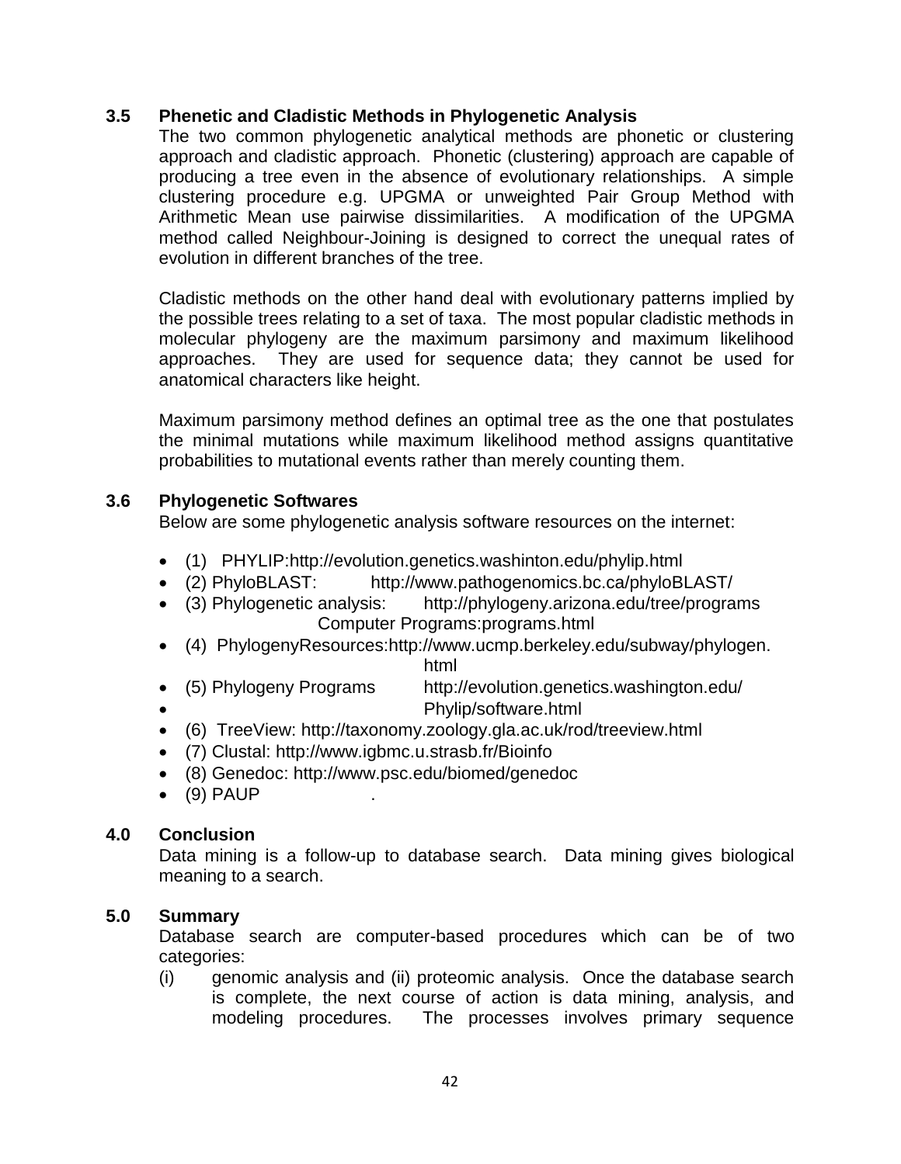### **3.5 Phenetic and Cladistic Methods in Phylogenetic Analysis**

The two common phylogenetic analytical methods are phonetic or clustering approach and cladistic approach. Phonetic (clustering) approach are capable of producing a tree even in the absence of evolutionary relationships. A simple clustering procedure e.g. UPGMA or unweighted Pair Group Method with Arithmetic Mean use pairwise dissimilarities. A modification of the UPGMA method called Neighbour-Joining is designed to correct the unequal rates of evolution in different branches of the tree.

Cladistic methods on the other hand deal with evolutionary patterns implied by the possible trees relating to a set of taxa. The most popular cladistic methods in molecular phylogeny are the maximum parsimony and maximum likelihood approaches. They are used for sequence data; they cannot be used for anatomical characters like height.

Maximum parsimony method defines an optimal tree as the one that postulates the minimal mutations while maximum likelihood method assigns quantitative probabilities to mutational events rather than merely counting them.

# **3.6 Phylogenetic Softwares**

Below are some phylogenetic analysis software resources on the internet:

- (1) PHYLIP:http://evolution.genetics.washinton.edu/phylip.html
- (2) PhyloBLAST: http://www.pathogenomics.bc.ca/phyloBLAST/
- (3) Phylogenetic analysis: http://phylogeny.arizona.edu/tree/programs Computer Programs:programs.html
- (4) PhylogenyResources:http://www.ucmp.berkeley.edu/subway/phylogen. html
- (5) Phylogeny Programs http://evolution.genetics.washington.edu/
	- Phylip/software.html
- (6) TreeView: http://taxonomy.zoology.gla.ac.uk/rod/treeview.html
- (7) Clustal: http://www.igbmc.u.strasb.fr/Bioinfo
- (8) Genedoc: http://www.psc.edu/biomed/genedoc
- $(9)$  PAUP

### **4.0 Conclusion**

Data mining is a follow-up to database search. Data mining gives biological meaning to a search.

### **5.0 Summary**

Database search are computer-based procedures which can be of two categories:

(i) genomic analysis and (ii) proteomic analysis. Once the database search is complete, the next course of action is data mining, analysis, and modeling procedures. The processes involves primary sequence